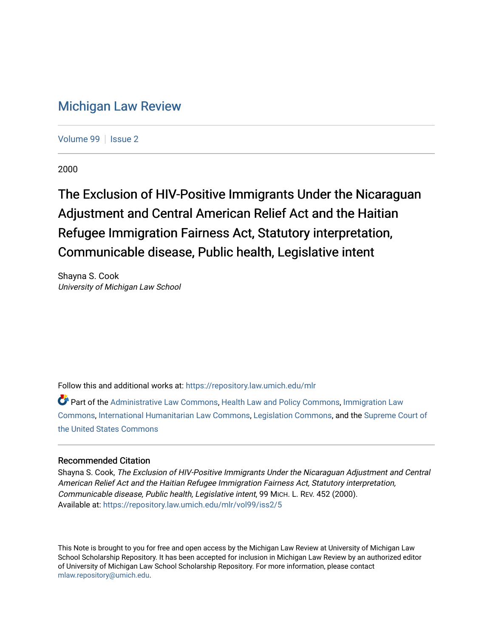# [Michigan Law Review](https://repository.law.umich.edu/mlr)

[Volume 99](https://repository.law.umich.edu/mlr/vol99) | [Issue 2](https://repository.law.umich.edu/mlr/vol99/iss2)

2000

# The Exclusion of HIV-Positive Immigrants Under the Nicar aguan Adjustment and Central American Relief Act and the Haitian Refugee Immigration Fairness Act, Statutory interpretation, Communicable disease, Public health, Legislative intent

Shayna S. Cook University of Michigan Law School

Follow this and additional works at: [https://repository.law.umich.edu/mlr](https://repository.law.umich.edu/mlr?utm_source=repository.law.umich.edu%2Fmlr%2Fvol99%2Fiss2%2F5&utm_medium=PDF&utm_campaign=PDFCoverPages) 

Part of the [Administrative Law Commons,](http://network.bepress.com/hgg/discipline/579?utm_source=repository.law.umich.edu%2Fmlr%2Fvol99%2Fiss2%2F5&utm_medium=PDF&utm_campaign=PDFCoverPages) [Health Law and Policy Commons,](http://network.bepress.com/hgg/discipline/901?utm_source=repository.law.umich.edu%2Fmlr%2Fvol99%2Fiss2%2F5&utm_medium=PDF&utm_campaign=PDFCoverPages) [Immigration Law](http://network.bepress.com/hgg/discipline/604?utm_source=repository.law.umich.edu%2Fmlr%2Fvol99%2Fiss2%2F5&utm_medium=PDF&utm_campaign=PDFCoverPages) [Commons](http://network.bepress.com/hgg/discipline/604?utm_source=repository.law.umich.edu%2Fmlr%2Fvol99%2Fiss2%2F5&utm_medium=PDF&utm_campaign=PDFCoverPages), [International Humanitarian Law Commons,](http://network.bepress.com/hgg/discipline/1330?utm_source=repository.law.umich.edu%2Fmlr%2Fvol99%2Fiss2%2F5&utm_medium=PDF&utm_campaign=PDFCoverPages) [Legislation Commons](http://network.bepress.com/hgg/discipline/859?utm_source=repository.law.umich.edu%2Fmlr%2Fvol99%2Fiss2%2F5&utm_medium=PDF&utm_campaign=PDFCoverPages), and the [Supreme Court of](http://network.bepress.com/hgg/discipline/1350?utm_source=repository.law.umich.edu%2Fmlr%2Fvol99%2Fiss2%2F5&utm_medium=PDF&utm_campaign=PDFCoverPages)  [the United States Commons](http://network.bepress.com/hgg/discipline/1350?utm_source=repository.law.umich.edu%2Fmlr%2Fvol99%2Fiss2%2F5&utm_medium=PDF&utm_campaign=PDFCoverPages) 

# Recommended Citation

Shayna S. Cook, The Exclusion of HIV-Positive Immigrants Under the Nicaraguan Adjustment and Central American Relief Act and the Haitian Refugee Immigration Fairness Act, Statutory interpretation, Communicable disease, Public health, Legislative intent, 99 MICH. L. REV. 452 (2000). Available at: [https://repository.law.umich.edu/mlr/vol99/iss2/5](https://repository.law.umich.edu/mlr/vol99/iss2/5?utm_source=repository.law.umich.edu%2Fmlr%2Fvol99%2Fiss2%2F5&utm_medium=PDF&utm_campaign=PDFCoverPages)

This Note is brought to you for free and open access by the Michigan Law Review at University of Michigan Law School Scholarship Repository. It has been accepted for inclusion in Michigan Law Review by an authorized editor of University of Michigan Law School Scholarship Repository. For more information, please contact [mlaw.repository@umich.edu.](mailto:mlaw.repository@umich.edu)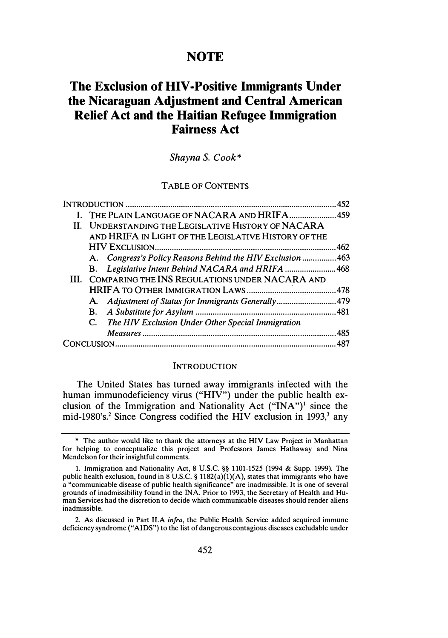# **NOTE**

# The Exclusion of HIV-Positive Immigrants Under the Nicaraguan Adjustment and Central American Relief Act and the Haitian Refugee Immigration Fairness Act

Shayna S. Cook\*

# TABLE OF CONTENTS

|    |                                                      |                                                            | 452 |
|----|------------------------------------------------------|------------------------------------------------------------|-----|
|    | I. THE PLAIN LANGUAGE OF NACARA AND HRIFA459         |                                                            |     |
| Н. | UNDERSTANDING THE LEGISLATIVE HISTORY OF NACARA      |                                                            |     |
|    | AND HRIFA IN LIGHT OF THE LEGISLATIVE HISTORY OF THE |                                                            |     |
|    |                                                      |                                                            |     |
|    |                                                      | A. Congress's Policy Reasons Behind the HIV Exclusion  463 |     |
|    |                                                      | B. Legislative Intent Behind NACARA and HRIFA  468         |     |
|    |                                                      | III. COMPARING THE INS REGULATIONS UNDER NACARA AND        |     |
|    |                                                      |                                                            |     |
|    |                                                      | A. Adjustment of Status for Immigrants Generally479        |     |
|    |                                                      |                                                            |     |
|    |                                                      | C. The HIV Exclusion Under Other Special Immigration       |     |
|    |                                                      |                                                            |     |
|    |                                                      |                                                            |     |

#### **INTRODUCTION**

The United States has turned away immigrants infected with the human immunodeficiency virus ("HIV") under the public health exclusion of the Immigration and Nationality Act  $("INA")^1$  since the mid-1980's.<sup>2</sup> Since Congress codified the HIV exclusion in 1993,<sup>3</sup> any

<sup>\*</sup> The author would like to thank the attorneys at the HIV Law Project in Manhattan for helping to conceptualize this project and Professors James Hathaway and Nina Mendelson for their insightful comments.

<sup>1.</sup> Immigration and Nationality Act, 8 U.S.C. §§ 1 101-1525 (1994 & Supp. 1999). The public health exclusion, found in 8 U.S.C. § 1182(a)(1)(A), states that immigrants who have a "communicable disease of public health significance" are inadmissible. It is one of several grounds of inadmissibility found in the INA. Prior to 1993, the Secretary of Health and Human Services had the discretion to decide which communicable diseases should render aliens inadmissible.

<sup>2.</sup> As discussed in Part II.A infra, the Public Health Service added acquired immune deficiency syndrome ("AIDS") to the list of dangerous contagious diseases excludable under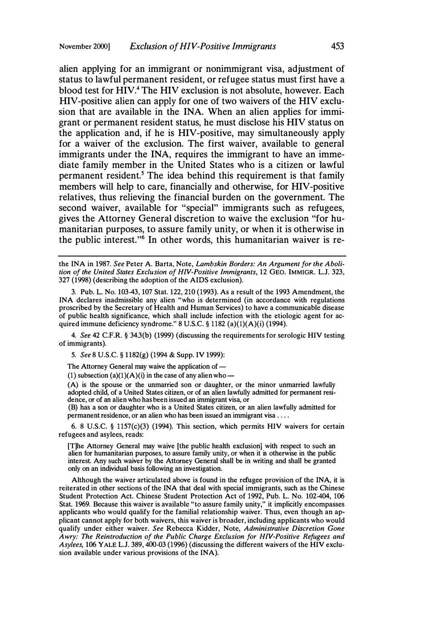alien applying for an immigrant or nonimmigrant visa, adjustment of status to lawful permanent resident, or refugee status must first have a blood test for HIV.4 The HIV exclusion is not absolute, however. Each HIV-positive alien can apply for one of two waivers of the HIV exclusion that are available in the INA. When an alien applies for immigrant or permanent resident status, he must disclose his HIV status on the application and, if he is HIV-positive, may simultaneously apply for a waiver of the exclusion. The first waiver, available to general immigrants under the INA, requires the immigrant to have an immediate family member in the United States who is a citizen or lawful permanent resident.5 The idea behind this requirement is that family members will help to care, financially and otherwise, for HIV-positive relatives, thus relieving the financial burden on the government. The second waiver, available for "special" immigrants such as refugees, gives the Attorney General discretion to waive the exclusion "for humanitarian purposes, to assure family unity, or when it is otherwise in the public interest."6 In other words, this humanitarian waiver is re-

the INA in 1987. See Peter A. Barta, Note, Lambskin Borders: An Argument for the Abolition of the United States Exclusion of HIV-Positive Immigrants, 12 GEO. IMMIGR. L.J. 323, 327 (1998) (describing the adoption of the AIDS exclusion).

3. Pub. L. No. 103-43, 107 Stat. 122, 210 (1993). As a result of the 1993 Amendment, the INA declares inadmissible any alien "who is determined (in accordance with regulations proscribed by the Secretary of Health and Human Services) to have a communicable disease of public health significance, which shall include infection with the etiologic agent for acquired immune deficiency syndrome." 8 U.S.C. § 1182 (a)(1)(A)(i) (1994).

4. See 42 C.F.R. § 34.3(b) (1999) (discussing the requirements for serologic HIV testing of immigrants).

5. See 8 U.S.C. § 1182(g) (1994 & Supp. IV 1999):

The Attorney General may waive the application of -

(1) subsection (a)(1)(A)(i) in the case of any alien who —

{A) is the spouse or the unmarried son or daughter, or the minor unmarried lawfully adopted child, of a United States citizen, or of an alien lawfully admitted for permanent residence, or of an alien who has been issued an immigrant visa, or

(B) has a son or daughter who is a United States citizen, or an alien lawfully admitted for permanent residence, or an alien who has been issued an immigrant visa . . ..

6. 8 U.S.C. § 1157(c)(3) (1994). This section, which permits HIV waivers for certain refugees and asylees, reads:

(T]he Attorney General may waive (the public health exclusion] with respect to such an alien for humanitarian purposes, to assure family unity, or when it is otherwise in the public interest. Any such waiver by the Attorney General shall be in writing and shall be granted only on an individual basis following an investigation.

Although the waiver articulated above is found in the refugee provision of the INA, it is reiterated in other sections of the INA that deal with special immigrants, such as the Chinese Student Protection Act. Chinese Student Protection Act of 1992, Pub. L. No. 102-404, 106 Stat. 1969. Because this waiver is available "to assure family unity," it implicitly encompasses applicants who would qualify for the familial relationship waiver. Thus, even though an applicant cannot apply for both waivers, this waiver is broader, including applicants who would qualify under either waiver. See Rebecca Kidder, Note, Administrative Discretion Gone Awry: The Reintroduction of the Public Charge Exclusion for HIV-Positive Refugees and Asylees, 106 YALE L.J. 389, 400-03 (1996) (discussing the different waivers of the HIV exclusion available under various provisions of the INA).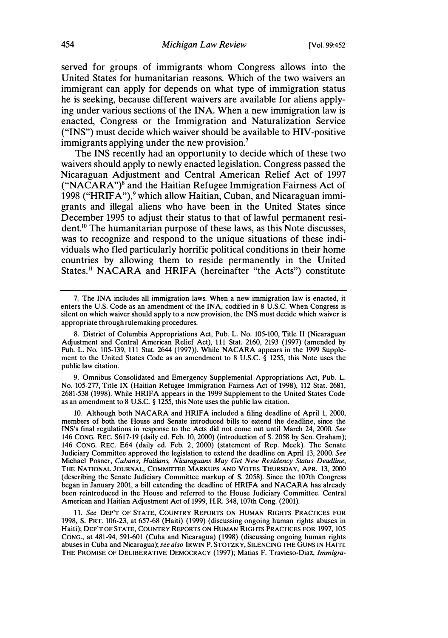served for groups of immigrants whom Congress allows into the United States for humanitarian reasons. Which of the two waivers an immigrant can apply for depends on what type of immigration status he is seeking, because different waivers are available for aliens applying under various sections of the INA. When a new immigration law is enacted, Congress or the Immigration and Naturalization Service ("INS") must decide which waiver should be available to HIV-positive immigrants applying under the new provision.<sup>7</sup>

The INS recently had an opportunity to decide which of these two waivers should apply to newly enacted legislation. Congress passed the Nicaraguan Adjustment and Central American Relief Act of 1997  $("NACARA")<sup>8</sup>$  and the Haitian Refugee Immigration Fairness Act of 1998 ("HRIFA"),<sup>9</sup> which allow Haitian, Cuban, and Nicaraguan immigrants and illegal aliens who have been in the United States since December 1995 to adjust their status to that of lawful permanent resident.10 The humanitarian purpose of these laws, as this Note discusses, was to recognize and respond to the unique situations of these individuals who fled particularly horrific political conditions in their home countries by allowing them to reside permanently in the United States.<sup>11</sup> NACARA and HRIFA (hereinafter "the Acts") constitute

9. Omnibus Consolidated and Emergency Supplemental Appropriations Act, Pub. L. No. 105-277, Title IX (Haitian Refugee Immigration Fairness Act of 1998), 112 Stat. 2681, 2681-538 (1998). While HRIFA appears in the 1999 Supplement to the United States Code as an amendment to 8 U.S.C. § 1255, this Note uses the public law citation.

10. Although both NACARA and HRIFA included a filing deadline of April 1, 2000, members of both the House and Senate introduced bills to extend the deadline, since the INS's final regulations in response to the Acts did not come out until March 24, 2000. See 146 CONG. REC. S617-19 (daily ed. Feb. 10, 2000) (introduction of S. 2058 by Sen. Graham); 146 CONG. REC. E64 (daily ed. Feb. 2, 2000) (statement of Rep. Meek). The Senate Judiciary Committee approved the legislation to extend the deadline on April 13, 2000. See Michael Posner, Cubans, Haitians, Nicaraguans May Get New Residency Status Deadline, THE NATIONAL JOURNAL, COMMITfEE MARKUPS AND VOTES THuRSDAY, APR. 13, 2000 (describing the Senate Judiciary Committee markup of S. 2058). Since the 107th Congress began in January 2001, a bill extending the deadline of HRIFA and NACARA has already been reintroduced in the House and referred to the House Judiciary Committee. Central American and Haitian Adjustment Act of 1999, H.R. 348, 107th Cong. (2001).

11. See DEP'T OF STATE, COUNTRY REPORTS ON HUMAN RIGHTS PRACTICES FOR 1998, S. PRT. 106-23, at 657-68 (Haiti) (1999) (discussing ongoing human rights abuses in Haiti); DEP'T OF STATE, COUNTRY REPORTS ON HUMAN RIGHTS PRACTICES FOR 1997, 105 CONG., at 481-94, 591-601 (Cuba and Nicaragua) (1998) (discussing ongoing human rights abuses in Cuba and Nicaragua); see also IRWIN P. STOTZKY, SILENCING THE GUNS IN HAITI: THE PROMISE OF DELIBERATIVE DEMOCRACY (1997); Matias F. Travieso-Diaz, lmmigra-

<sup>7.</sup> The INA includes all immigration laws. When a new immigration law is enacted, it enters the U.S. Code as an amendment of the INA, codified in 8 U.S.C. When Congress is silent on which waiver should apply to a new provision, the INS must decide which waiver is appropriate through rulemaking procedures.

<sup>8.</sup> District of Columbia Appropriations Act, Pub. L. No. 105-100, Title II (Nicaraguan Adjustment and Central American Relief Act), 111 Stat. 2160, 2193 (1997) (amended by Pub. L. No. 105-139, 111 Stat. 2644 (1997)). While NACARA appears in the 1999 Supplement to the United States Code as an amendment to 8 U.S.C. § 1255, this Note uses the public law citation.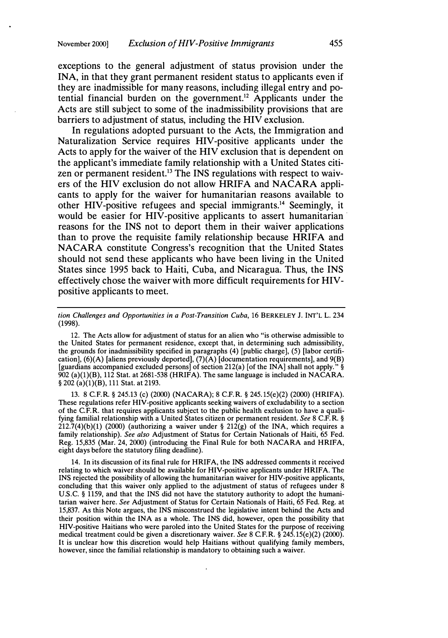exceptions to the general adjustment of status provision under the INA, in that they grant permanent resident status to applicants even if they are inadmissible for many reasons, including illegal entry and potential financial burden on the govemment.12 Applicants under the Acts are still subject to some of the inadmissibility provisions that are barriers to adjustment of status, including the HIV exclusion.

In regulations adopted pursuant to the Acts, the Immigration and Naturalization Service requires HIV-positive applicants under the Acts to apply for the waiver of the HIV exclusion that is dependent on the applicant's immediate family relationship with a United States citizen or permanent resident.13 The INS regulations with respect to waivers of the HIV exclusion do not allow HRIFA and NACARA applicants to apply for the waiver for humanitarian reasons available to other HIV-positive refugees and special immigrants.14 Seemingly, it would be easier for HIV-positive applicants to assert humanitarian reasons for the INS not to deport them in their waiver applications than to prove the requisite family relationship because HRIFA and NACARA constitute Congress's recognition that the United States should not send these applicants who have been living in the United States since 1995 back to Haiti, Cuba, and Nicaragua. Thus, the INS effectively chose the waiver with more difficult requirements for HIVpositive applicants to meet.

12. The Acts allow for adjustment of status for an alien who "is otherwise admissible to the United States for permanent residence, except that, in determining such admissibility, the grounds for inadinissibility specified in paragraphs (4) [public charge], (5) [labor certification],  $(6)(A)$  [aliens previously deported],  $(7)(A)$  [documentation requirements], and  $9(B)$ [guardians accompanied excluded persons] of section 212(a) [of the INA] shall not apply."§  $902$  (a)(1)(B), 112 Stat. at 2681-538 (HRIFA). The same language is included in NACARA. § 202 $(a)(1)(B)$ , 111 Stat. at 2193.

13. 8 C.F.R. § 245.13 (c) (2000) (NA CARA); 8 C.F.R. § 245.15(e)(2) (2000) (HRIFA). These regulations refer HIV-positive applicants seeking waivers of excludability to a section of the C.F.R. that requires applicants subject to the public health exclusion to have a qualifying familial relationship with a United States citizen or permanent resident. See 8 C.F.R. §  $212.7(4)(b)(1)$  (2000) (authorizing a waiver under § 212(g) of the INA, which requires a family relationship). See also Adjustment of Status for Certain Nationals of Haiti, 65 Fed. Reg. 15,835 (Mar. 24, 2000) (introducing the Final Rule for both NACARA and HRIFA, eight days before the statutory filing deadline).

14. In its discussion of its final rule for HRIFA, the INS addressed comments it received relating to which waiver should be available for HIV-positive applicants under HRIFA. The INS rejected the possibility of allowing the humanitarian waiver for HIV-positive applicants, concluding that this waiver only applied to the adjustment of status of refugees under 8 U.S.C. § 1159, and that the INS did not have the statutory authority to adopt the humanitarian waiver here. See Adjustment of Status for Certain Nationals of Haiti, 65 Fed. Reg. at 15,837. As this Note argues, the INS misconstrued the legislative intent behind the Acts and their position within the INA as a whole. The INS did, however, open the possibility that HIV-positive Haitians who were paroled into the United States for the purpose of receiving medical treatment could be given a discretionary waiver. See 8 C.F.R. § 245.15(e)(2) (2000). It is unclear how this discretion would help Haitians without qualifying family members, however, since the familial relationship is mandatory to obtaining such a waiver.

tion Challenges and Opportunities in a Post-Transition Cuba, 16 BERKELEY J. INT'L L. 234 (1998).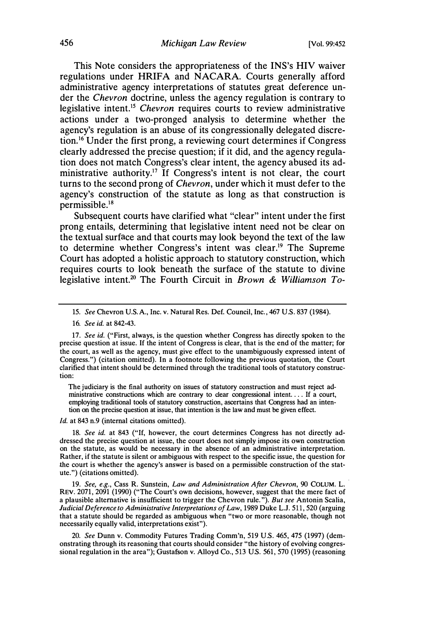This Note considers the appropriateness of the INS's HIV waiver regulations under HRIFA and NACARA. Courts generally afford administrative agency interpretations of statutes great deference under the Chevron doctrine, unless the agency regulation is contrary to legislative intent.<sup>15</sup> Chevron requires courts to review administrative actions under a two-pronged analysis to determine whether the agency's regulation is an abuse of its congressionally delegated discretion.16 Under the first prong, a reviewing court determines if Congress clearly addressed the precise question; if it did, and the agency regulation does not match Congress's clear intent, the agency abused its administrative authority.17 If Congress's intent is not clear, the court turns to the second prong of *Chevron*, under which it must defer to the agency's construction of the statute as long as that construction is permissible.18

Subsequent courts have clarified what "clear" intent under the first prong entails, determining that legislative intent need not be clear on the textual surface and that courts may look beyond the text of the law to determine whether Congress's intent was clear.<sup>19</sup> The Supreme Court has adopted a holistic approach to statutory construction, which requires courts to look beneath the surface of the statute to divine legislative intent.<sup>20</sup> The Fourth Circuit in Brown & Williamson To-

The judiciary is the final authority on issues of statutory construction and must reject administrative constructions which are contrary to clear congressional intent.... If a court, employing traditional tools of statutory construction, ascertains that Congress had an intention on the precise question at issue, that intention is the law and must be given effect.

Id. at 843 n.9 (internal citations omitted).

18. See id. at 843 ("If, however, the court determines Congress has not directly addressed the precise question at issue, the court does not simply impose its own construction on the statute, as would be necessary in the absence of an administrative interpretation. Rather, if the statute is silent or ambiguous with respect to the specific issue, the question for the court is whether the agency's answer is based on a permissible construction of the statute.") (citations omitted).

19. See, e.g., Cass R. Sunstein, Law and Administration After Chevron, 90 COLUM. L. REV. 2071, 2091 (1990) ("The Court's own decisions, however, suggest that the mere fact of a plausible alternative is insufficient to trigger the Chevron rule."). But see Antonin Scalia, Judicial Deference to Administrative Interpretations of Law, 1989 Duke L.J. 511, 520 (arguing that a statute should be regarded as ambiguous when "two or more reasonable, though not necessarily equally valid, interpretations exist").

20. See Dunn v. Commodity Futures Trading Comm'n, 519 U.S. 465, 475 (1997) (demonstrating through its reasoning that courts should consider "the history of evolving congressional regulation in the area"); Gustafson v. Alloyd Co., 513 U.S. 561, 570 (1995) (reasoning

<sup>15.</sup> See Chevron U.S.A., Inc. v. Natural Res. Def. Council, Inc., 467 U.S. 837 (1984).

<sup>16.</sup> See id. at 842-43.

<sup>17.</sup> See id. ("First, always, is the question whether Congress has directly spoken to the precise question at issue. If the intent of Congress is clear, that is the end of the matter; for the court, as well as the agency, must give effect to the unambiguously expressed intent of Congress.") (citation omitted). In a footnote following the previous quotation, the Court clarified that intent should be determined through the traditional tools of statutory construction: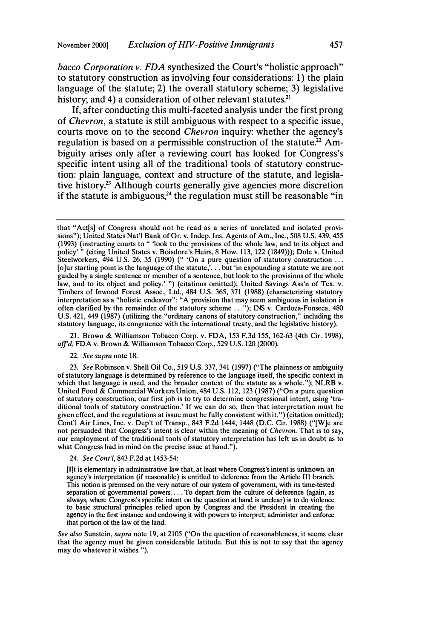bacco Corporation v. FDA synthesized the Court's "holistic approach" to statutory construction as involving four considerations: 1) the plain language of the statute; 2) the overall statutory scheme; 3) legislative history; and 4) a consideration of other relevant statutes.<sup>21</sup>

If, after conducting this multi-faceted analysis under the first prong of Chevron, a statute is still ambiguous with respect to a specific issue, courts move on to the second Chevron inquiry: whether the agency's regulation is based on a permissible construction of the statute.<sup>22</sup> Ambiguity arises only after a reviewing court has looked for Congress's specific intent using all of the traditional tools of statutory construction: plain language, context and structure of the statute, and legislative history.23 Although courts generally give agencies more discretion if the statute is ambiguous,<sup>24</sup> the regulation must still be reasonable "in

21. Brown & Williamson Tobacco Corp. v. FDA, 153 F.3d 155, 162-63 (4th Cir. 1998), aff'd, FDA v. Brown & Williamson Tobacco Corp., 529 U.S. 120 (2000).

22. See supra note 18.

23. See Robinson v. Shell Oil Co., 519 U.S. 337, 341 (1997) ("The plainness or ambiguity of statutory language is determined by reference to the language itself, the specific context in which that language is used, and the broader context of the statute as a whole."); NLRB v. United Food & Commercial Workers Union, 484 U.S. 112, 123 (1987) ("On a pure question of statutory construction, our first job is to try to determine congressional intent, using 'traditional tools of statutory construction.' If we can do so, then that interpretation must be given effect, and the regulations at issue must be fully consistent with it.") (citation omitted); Cont') Air Lines, Inc. v. Dep't of Transp., 843 F.2d 1444, 1448 (D.C. Cir. 1988) ("[W]e are not persuaded that Congress's intent is clear within the meaning of Chevron. That is to say, our employment of the traditional tools of statutory interpretation has left us in doubt as to what Congress had in mind on the precise issue at hand.").

24. See Cont'/, 843 F.2d at 1453-54:

[I]t is elementary in administrative law that, at least where Congress's intent is unknown, an agency's interpretation (if reasonable) is entitled to deference from the Article III branch. This notion is premised on the very nature of our system of government, with its time-tested separation of governmental powers .... To depart from the culture of deference (again, as always, where Congress's specific intent on the question at hand is unclear) is to do violence to basic structural principles relied upon by Congress and the President in creating the agency in the first instance and endowing it with powers to interpret, administer and enforce that portion of the law of the land.

See also Sunstein, supra note 19, at 2105 ("On the question of reasonableness, it seems clear that the agency must be given considerable latitude. But this is not to say that the agency may do whatever it wishes.").

that "Act[s] of Congress should not be read as a series of unrelated and isolated provisions"); United States Nat') Bank of Or. v. Indep. Ins. Agents of Am., Inc., 508 U.S. 439, 455 (1993) (instructing courts to " 'look to the provisions of the whole law, and to its object and policy' " (citing United States v. Boisdore's Heirs, 8 How. 113, 122 (1849))); Dole v. United Steelworkers, 494 U.S. 26, 35 (1990) (" 'On a pure question of statutory construction ... [o]ur starting point is the language of the statute,' ... but 'in expounding a statute we are not guided by a single sentence or member of a sentence, but look to the provisions of the whole law, and to its object and policy.' ") (citations omitted); United Savings Ass'n of Tex. v. Timbers of Inwood Forest Assoc., Ltd., 484 U.S. 365, 371 (1988) (characterizing statutory interpretation as a "holistic endeavor": "A provision that may seem ambiguous in isolation is often clarified by the remainder of the statutory scheme ... "); INS v. Cardoza-Fonseca, 480 U.S. 421, 449 (1987) (utilizing the "ordinary canons of statutory construction," including the statutory language, its congruence with the international treaty, and the legislative history).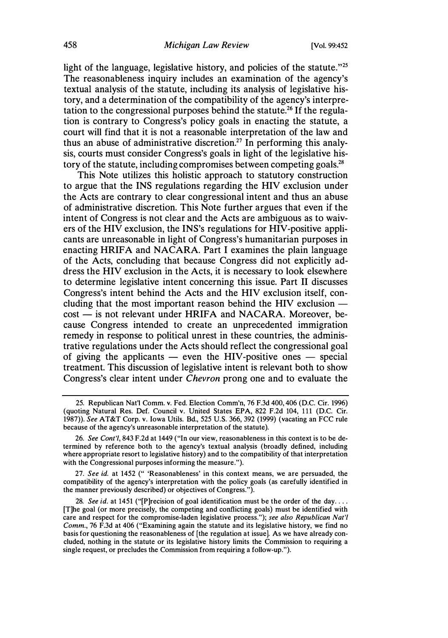light of the language, legislative history, and policies of the statute."<sup>25</sup> The reasonableness inquiry includes an examination of the agency's textual analysis of the statute, including its analysis of legislative history, and a determination of the compatibility of the agency's interpretation to the congressional purposes behind the statute.26 If the regulation is contrary to Congress's policy goals in enacting the statute, a court will find that it is not a reasonable interpretation of the law and thus an abuse of administrative discretion.27 In performing this analysis, courts must consider Congress's goals in light of the legislative history of the statute, including compromises between competing goals.<sup>28</sup>

This Note utilizes this holistic approach to statutory construction to argue that the INS regulations regarding the HIV exclusion under the Acts are contrary to clear congressional intent and thus an abuse of administrative discretion. This Note further argues that even if the intent of Congress is not clear and the Acts are ambiguous as to waivers of the HIV exclusion, the INS's regulations for HIV-positive applicants are unreasonable in light of Congress's humanitarian purposes in enacting HRIFA and NACARA. Part I examines the plain language of the Acts, concluding that because Congress did not explicitly address the HIV exclusion in the Acts, it is necessary to look elsewhere to determine legislative intent concerning this issue. Part II discusses Congress's intent behind the Acts and the HIV exclusion itself, concluding that the most important reason behind the HIV exclusion  $$  $cost - is$  not relevant under HRIFA and NACARA. Moreover, because Congress intended to create an unprecedented immigration remedy in response to political unrest in these countries, the administrative regulations under the Acts should reflect the congressional goal of giving the applicants  $-$  even the HIV-positive ones  $-$  special treatment. This discussion of legislative intent is relevant both to show Congress's clear intent under Chevron prong one and to evaluate the

<sup>25.</sup> Republican Nat'! Comm. v. Fed. Election Comm'n, 76 F.3d 400, 406 (D.C. Cir. 1996) (quoting Natural Res. Def. Council v. United States EPA, 822 F.2d 104, 111 (D.C. Cir. 1987)). See AT&T Corp. v. Iowa Utils. Bd., 525 U.S. 366, 392 (1999) (vacating an FCC rule because of the agency's unreasonable interpretation of the statute).

<sup>26.</sup> See Cont'/, 843 F.2d at 1449 ("In our view, reasonableness in this context is to be determined by reference both to the agency's textual analysis (broadly defined, including where appropriate resort to legislative history) and to the compatibility of that interpretation with the Congressional purposes informing the measure.").

<sup>27.</sup> See id. at 1452 (" 'Reasonableness' in this context means, we are persuaded, the compatibility of the agency's interpretation with the policy goals (as carefully identified in the manner previously described) or objectives of Congress.").

<sup>28.</sup> See id. at 1451 ("[P] recision of goal identification must be the order of the day... (T]he goal (or more precisely, the competing and conflicting goals) must be identified with care and respect for the compromise-laden legislative process."); see also Republican Nat'/ Comm., 76 F.3d at 406 ("Examining again the statute and its legislative history, we find no basis for questioning the reasonableness of (the regulation at issue]. As we have already concluded, nothing in the statute or its legislative history limits the Commission to requiring a single request, or precludes the Commission from requiring a follow-up.").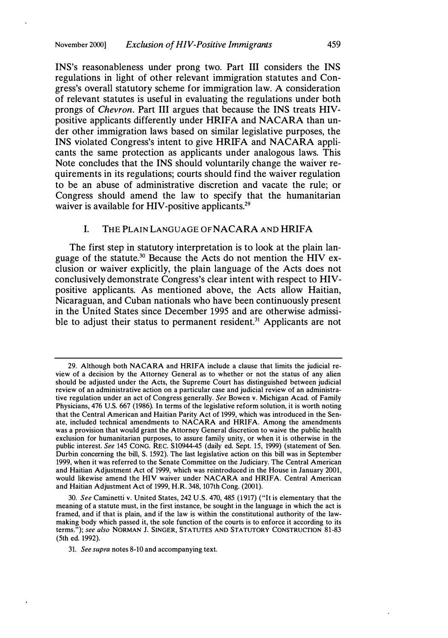INS's reasonableness under prong two. Part III considers the INS regulations in light of other relevant immigration statutes and Congress's overall statutory scheme for immigration law. A consideration of relevant statutes is useful in evaluating the regulations under both prongs of Chevron. Part III argues that because the INS treats HIVpositive applicants differently under HRIFA and NACARA than under other immigration laws based on similar legislative purposes, the INS violated Congress's intent to give HRIFA and NACARA applicants the same protection as applicants under analogous laws. This Note concludes that the INS should voluntarily change the waiver requirements in its regulations; courts should find the waiver regulation to be an abuse of administrative discretion and vacate the rule; or Congress should amend the law to specify that the humanitarian waiver is available for HIV-positive applicants.<sup>29</sup>

### I. THE PLAIN LANGUAGE OF NACARA AND HRIFA

The first step in statutory interpretation is to look at the plain language of the statute.<sup>30</sup> Because the Acts do not mention the HIV exclusion or waiver explicitly, the plain language of the Acts does not conclusively demonstrate Congress's clear intent with respect to HIVpositive applicants. As mentioned above, the Acts allow Haitian, Nicaraguan, and Cuban nationals who have been continuously present in the United States since December 1995 and are otherwise admissible to adjust their status to permanent resident.<sup>31</sup> Applicants are not

<sup>29.</sup> Although both NACARA and HRIFA include a clause that limits the judicial review of a decision by the Attorney General as to whether or not the status of any alien should be adjusted under the Acts, the Supreme Court has distinguished between judicial review of an administrative action on a particular case and judicial review of an administrative regulation under an act of Congress generally. See Bowen v. Michigan Acad. of Family Physicians, 476 U.S. 667 (1986). In terms of the legislative reform solution, it is worth noting that the Central American and Haitian Parity Act of 1999, which was introduced in the Senate, included technical amendments to NACARA and HRIFA. Among the amendments was a provision that would grant the Attorney General discretion to waive the public health exclusion for humanitarian purposes, to assure family unity, or when it is otherwise in the public interest. See 145 CONG. REC. S10944-45 (daily ed. Sept. 15, 1999) (statement of Sen. Durbin concerning the bill, S. 1592). The last legislative action on this bill was in September 1999, when it was referred to the Senate Committee on the Judiciary. The Central American and Haitian Adjustment Act of 1999, which was reintroduced in the House in January 2001, would likewise amend the HIV waiver under NACARA and HRIFA. Central American and Haitian Adjustment Act of 1999, H.R. 348, 107th Cong. (2001).

<sup>30.</sup> See Carninetti v. United States, 242 U.S. 470, 485 (1917) ("It is elementary that the meaning of a statute must, in the first instance, be sought in the language in which the act is framed, and if that is plain, and if the law is within the constitutional authority of the lawmaking body which passed it, the sole function of the courts is to enforce it according to its terms."); see also NORMAN J. SINGER, STATUTES AND STATUTORY CONSTRUCTION 81-83 (5th ed. 1992).

<sup>31.</sup> See supra notes 8-10 and accompanying text.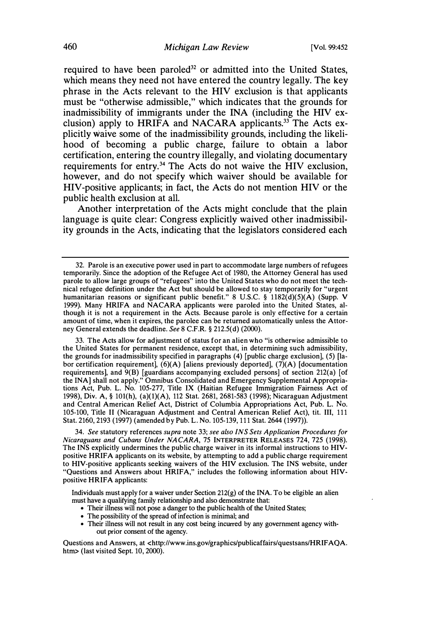required to have been paroled<sup>32</sup> or admitted into the United States, which means they need not have entered the country legally. The key phrase in the Acts relevant to the HIV exclusion is that applicants must be "otherwise admissible," which indicates that the grounds for inadmissibility of immigrants under the INA (including the HIV exclusion) apply to HRIFA and NACARA applicants. $33$  The Acts explicitly waive some of the inadmissibility grounds, including the likelihood of becoming a public charge, failure to obtain a labor certification, entering the country illegally, and violating documentary requirements for entry.34 The Acts do not waive the HIV exclusion, however, and do not specify which waiver should be available for HIV-positive applicants; in fact, the Acts do not mention HIV or the public health exclusion at all.

Another interpretation of the Acts might conclude that the plain language is quite clear: Congress explicitly waived other inadmissibility grounds in the Acts, indicating that the legislators considered each

34. See statutory references supra note 33; see also INS Sets Application Procedures for Nicaraguans and Cubans Under NACARA, 75 INTERPRETER RELEASES 724, 725 (1998). The INS explicitly undermines the public charge waiver in its informal instructions to HIVpositive HRIF A applicants on its website, by attempting to add a public charge requirement to HIV-positive applicants seeking waivers of the HIV exclusion. The INS website, under "Questions and Answers about HRIFA," includes the following information about HIVpositive HRIFA applicants:

Individuals must apply for a waiver under Section 212(g) of the INA. To be eligible an alien must have a qualifying family relationship and also demonstrate that:

- Their illness will not pose a danger to the public health of the United States;
- The possibility of the spread of infection is minimal; and
- Their illness will not result in any cost being incurred by any government agency without prior consent of the agency.

Questions and Answers, at <http://www.ins.gov/graphics/publicaffairs/questsans/HRIFAQA. htm> (last visited Sept. 10, 2000).

<sup>32.</sup> Parole is an executive power used in part to accommodate large numbers of refugees temporarily. Since the adoption of the Refugee Act of 1980, the Attorney General has used parole to allow large groups of "refugees" into the United States who do not meet the technical refugee definition under the Act but should be allowed to stay temporarily for "urgent humanitarian reasons or significant public benefit." 8 U.S.C. § 1182(d)(5)(A) (Supp. V 1999). Many HRIFA and NACARA applicants were paroled into the United States, although it is not a requirement in the Acts. Because parole is only effective for a certain amount of time, when it expires, the parolee can be returned automatically unless the Attorney General extends the deadline. See 8 C.F.R. § 212.5(d) (2000).

<sup>33.</sup> The Acts allow for adjustment of status for an alien who "is otherwise admissible to the United States for permanent residence, except that, in determining such admissibility, the grounds for inadmissibility specified in paragraphs (4) [public charge exclusion], (5) [labor certification requirement],  $(6)(A)$  [aliens previously deported],  $(7)(A)$  [documentation requirements], and 9(B) [guardians accompanying excluded persons] of section 212(a) [of the INA] shall not apply." Omnibus Consolidated and Emergency Supplemental Appropriations Act, Pub. L. No. 105-277, Title IX (Haitian Refugee Immigration Fairness Act of 1998), Div. A, § lOl(h), (a)(l)(A), 112 Stat. 2681, 2681-583 (1998); Nicaraguan Adjustment and Central American Relief Act, District of Columbia Appropriations Act, Pub. L. No. 105-100, Title II (Nicaraguan Adjustment and Central American Relief Act), tit. III, 111 Stat. 2160, 2193 (1997) (amended by Pub. L. No. 105-139, 111 Stat. 2644 (1997)).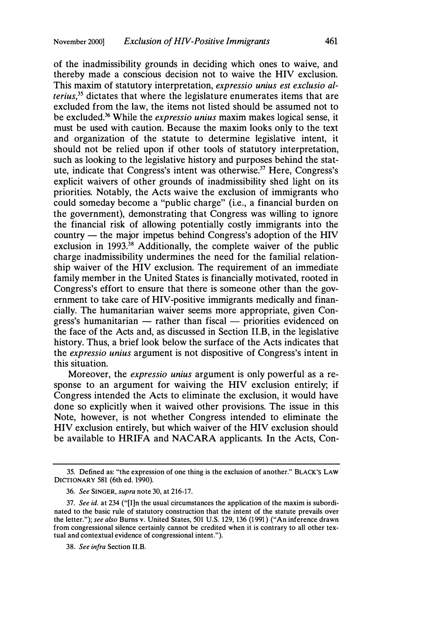of the inadmissibility grounds in deciding which ones to waive, and thereby made a conscious decision not to waive the HIV exclusion. This maxim of statutory interpretation, expressio unius est exclusio alterius,<sup>35</sup> dictates that where the legislature enumerates items that are excluded from the law, the items not listed should be assumed not to be excluded.<sup>36</sup> While the *expressio unius* maxim makes logical sense, it must be used with caution. Because the maxim looks only to the text and organization of the statute to determine legislative intent, it should not be relied upon if other tools of statutory interpretation, such as looking to the legislative history and purposes behind the statute, indicate that Congress's intent was otherwise.37 Here, Congress's explicit waivers of other grounds of inadmissibility shed light on its priorities. Notably, the Acts waive the exclusion of immigrants who could someday become a "public charge" (i.e., a financial burden on the government), demonstrating that Congress was willing to ignore the financial risk of allowing potentially costly immigrants into the country — the major impetus behind Congress's adoption of the HIV exclusion in 1993.<sup>38</sup> Additionally, the complete waiver of the public charge inadmissibility undermines the need for the familial relationship waiver of the HIV exclusion. The requirement of an immediate family member in the United States is financially motivated, rooted in Congress's effort to ensure that there is someone other than the government to take care of HIV-positive immigrants medically and financially. The humanitarian waiver seems more appropriate, given Congress's humanitarian  $-$  rather than fiscal  $-$  priorities evidenced on the face of the Acts and, as discussed in Section 11.B, in the legislative history. Thus, a brief look below the surface of the Acts indicates that the expressio unius argument is not dispositive of Congress's intent in this situation.

Moreover, the expressio unius argument is only powerful as a response to an argument for waiving the HIV exclusion entirely; if Congress intended the Acts to eliminate the exclusion, it would have done so explicitly when it waived other provisions. The issue in this Note, however, is not whether Congress intended to eliminate the HIV exclusion entirely, but which waiver of the HIV exclusion should be available to HRIFA and NACARA applicants. In the Acts, Con-

<sup>35.</sup> Defined as: "the expression of one thing is the exclusion of another." BLACK'S LAW DICTIONARY 581 (6th ed. 1990).

<sup>36.</sup> See SINGER, supra note 30, at 216-17.

<sup>37.</sup> See id. at 234 ("(I)n the usual circumstances the application of the maxim is subordinated to the basic rule of statutory construction that the intent of the statute prevails over the letter."); see also Burns v. United States, 501 U.S. 129, 136 (1991) ("An inference drawn from congressional silence certainly cannot be credited when it is contrary to all other textual and contextual evidence of congressional intent.").

<sup>38.</sup> See infra Section H.B.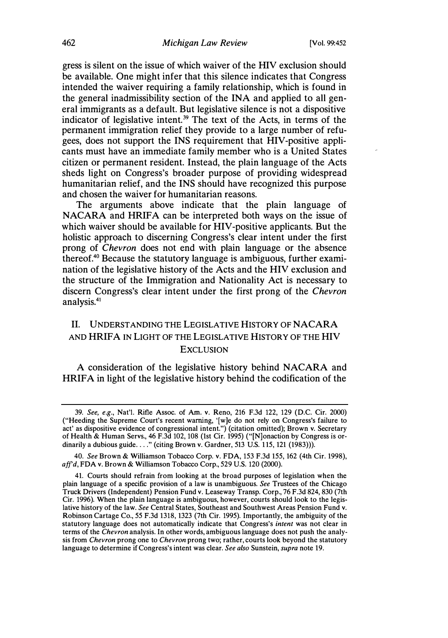gress is silent on the issue of which waiver of the HIV exclusion should be available. One might infer that this silence indicates that Congress intended the waiver requiring a family relationship, which is found in the general inadmissibility section of the INA and applied to all general immigrants as a default. But legislative silence is not a dispositive indicator of legislative intent. 39 The text of the Acts, in terms of the permanent immigration relief they provide to a large number of refugees, does not support the INS requirement that HIV-positive applicants must have an immediate family member who is a United States citizen or permanent resident. Instead, the plain language of the Acts sheds light on Congress's broader purpose of providing widespread humanitarian relief, and the INS should have recognized this purpose and chosen the waiver for humanitarian reasons.

The arguments above indicate that the plain language of NACARA and HRIFA can be interpreted both ways on the issue of which waiver should be available for HIV-positive applicants. But the holistic approach to discerning Congress's clear intent under the first prong of Chevron does not end with plain language or the absence thereof.40 Because the statutory language is ambiguous, further examination of the legislative history of the Acts and the HIV exclusion and the structure of the Immigration and Nationality Act is necessary to discern Congress's clear intent under the first prong of the Chevron analysis.41

# II. UNDERSTANDING THE LEGISLATIVE HISTORY OF NACARA AND HRIFA IN LIGHT OF THE LEGISLATIVE HISTORY OF THE HIV **EXCLUSION**

A consideration of the legislative history behind NACARA and HRIFA in light of the legislative history behind the codification of the

<sup>39.</sup> See, e.g., Nat'!. Rifle Assoc. of Am. v. Reno, 216 F.3d 122, 129 (D.C. Cir. 2000) ("Heeding the Supreme Court's recent warning, '[w]e do not rely on Congress's failure to act' as dispositive evidence of congressional intent.") (citation omitted); Brown v. Secretary of Health & Human Servs., 46 F.3d 102, 108 (1st Cir. 1995) ("[N]onaction by Congress is ordinarily a dubious guide...." (citing Brown v. Gardner, 513 U.S. 115, 121 (1983))).

<sup>40.</sup> See Brown & Williamson Tobacco Corp. v. FDA, 153 F.3d 155, 162 (4th Cir. 1998), aff'd, FDA v. Brown & Williamson Tobacco Corp., 529 U.S. 120 (2000).

<sup>41.</sup> Courts should refrain from looking at the broad purposes of legislation when the plain language of a specific provision of a law is unambiguous. See Trustees of the Chicago Truck Drivers (Independent) Pension Fund v. Leaseway Transp. Corp., 76 F.3d 824, 830 (7th Cir. 1996). When the plain language is ambiguous, however, courts should look to the legislative history of the law. See Central States, Southeast and Southwest Areas Pension Fund v. Robinson Cartage Co., 55 F.3d 1318, 1323 (7th Cir. 1995). Importantly, the ambiguity of the statutory language does not automatically indicate that Congress's intent was not clear in terms of the Chevron analysis. In other words, ambiguous language does not push the analysis from *Chevron* prong one to *Chevron* prong two; rather, courts look beyond the statutory language to determine if Congress's intent was clear. See also Sunstein, supra note 19.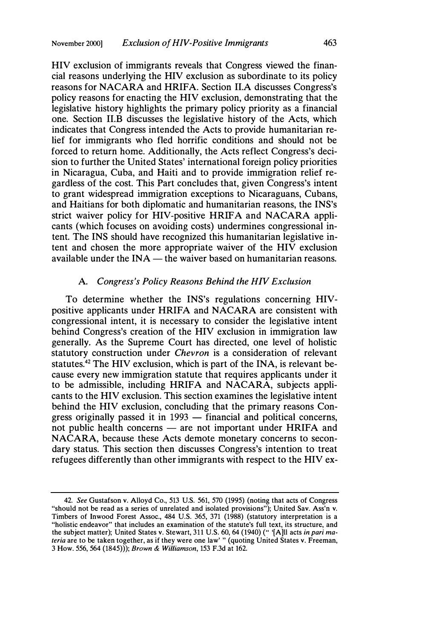HIV exclusion of immigrants reveals that Congress viewed the financial reasons underlying the HIV exclusion as subordinate to its policy reasons for NACARA and HRIFA. Section II.A discusses Congress's policy reasons for enacting the HIV exclusion, demonstrating that the legislative history highlights the primary policy priority as a financial one. Section II.B discusses the legislative history of the Acts, which indicates that Congress intended the Acts to provide humanitarian relief for immigrants who fled horrific conditions and should not be forced to return home. Additionally, the Acts reflect Congress's decision to further the United States' international foreign policy priorities in Nicaragua, Cuba, and Haiti and to provide immigration relief regardless of the cost. This Part concludes that, given Congress's intent to grant widespread immigration exceptions to Nicaraguans, Cubans, and Haitians for both diplomatic and humanitarian reasons, the INS's strict waiver policy for HIV-positive HRIFA and NACARA applicants (which focuses on avoiding costs) undermines congressional intent. The INS should have recognized this humanitarian legislative intent and chosen the more appropriate waiver of the HIV exclusion available under the  $INA$  — the waiver based on humanitarian reasons.

## A. Congress's Policy Reasons Behind the HW Exclusion

To determine whether the INS's regulations concerning HIVpositive applicants under HRIFA and NACARA are consistent with congressional intent, it is necessary to consider the legislative intent behind Congress's creation of the HIV exclusion in immigration law generally. As the Supreme Court has directed, one level of holistic statutory construction under Chevron is a consideration of relevant statutes.<sup>42</sup> The HIV exclusion, which is part of the INA, is relevant because every new immigration statute that requires applicants under it to be admissible, including HRIFA and NACARA, subjects applicants to the HIV exclusion. This section examines the legislative intent behind the HIV exclusion, concluding that the primary reasons Congress originally passed it in  $1993$  — financial and political concerns, not public health concerns — are not important under HRIFA and NACARA, because these Acts demote monetary concerns to secondary status. This section then discusses Congress's intention to treat refugees differently than other immigrants with respect to the HIV ex-

<sup>42.</sup> See Gustafson v. Alloyd Co., 513 U.S. 561, 570 (1995) (noting that acts of Congress "should not be read as a series of unrelated and isolated provisions"); United Sav. Ass'n v. Timbers of Inwood Forest Assoc., 484 U.S. 365, 371 (1988) (statutory interpretation is a "holistic endeavor" that includes an examination of the statute's full text, its structure, and the subject matter); United States v. Stewart, 311 U.S. 60, 64 (1940) (" '[A]ll acts in pari materia are to be taken together, as if they were one law' " (quoting United States v. Freeman, 3 How. 556, 564 (1845))); Brown & Williamson, 153 F.3d at 162.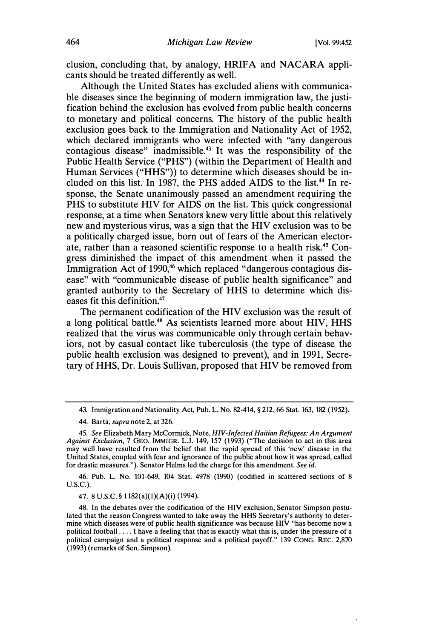clusion, concluding that, by analogy, HRIFA and NACARA applicants should be treated differently as well.

Although the United States has excluded aliens with communicable diseases since the beginning of modern immigration law, the justification behind the exclusion has evolved from public health concerns to monetary and political concerns. The history of the public health exclusion goes back to the Immigration and Nationality Act of 1952, which declared immigrants who were infected with "any dangerous contagious disease" inadmissible.43 It was the responsibility of the Public Health Service ("PHS") (within the Department of Health and Human Services ("HHS")) to determine which diseases should be included on this list. In 1987, the PHS added AIDS to the list.<sup>44</sup> In response, the Senate unanimously passed an amendment requiring the PHS to substitute HIV for AIDS on the list. This quick congressional response, at a time when Senators knew very little about this relatively new and mysterious virus, was a sign that the HIV exclusion was to be a politically charged issue, born out of fears of the American electorate, rather than a reasoned scientific response to a health risk.45 Congress diminished the impact of this amendment when it passed the Immigration Act of 1990,<sup>46</sup> which replaced "dangerous contagious disease" with "communicable disease of public health significance" and granted authority to the Secretary of HHS to determine which diseases fit this definition.47

The permanent codification of the HIV exclusion was the result of a long political battle.48 As scientists learned more about HIV, HHS realized that the virus was communicable only through certain behaviors, not by casual contact like tuberculosis (the type of disease the public health exclusion was designed to prevent), and in 1991, Secretary of HHS, Dr. Louis Sullivan, proposed that HIV be removed from

47. 8 U.S.C. § 1182(a)(1)(A)(i) (1994).

<sup>43.</sup> Immigration and Nationality Act, Pub. L. No. 82-414, § 212, 66 Stat. 163, 182 (1952).

<sup>44.</sup> Barta, supra note 2, at 326.

<sup>45.</sup> See Elizabeth Mary McCormick, Note, HIV-Infected Haitian Refugees: An Argument Against Exclusion, 7 GEO. IMMIGR. L.J. 149, 157 (1993) ("The decision to act in this area may well have resulted from the belief that the rapid spread of this 'new' disease in the United States, coupled with fear and ignorance of the public about how it was spread, called for drastic measures."). Senator Helms led the charge for this amendment. See id.

<sup>46.</sup> Pub. L. No. 101-649, 104 Stat. 4978 (1990) (codified in scattered sections of 8 U.S.C.).

<sup>48.</sup> In the debates over the codification of the HIV exclusion, Senator Simpson postulated that the reason Congress wanted to take away the HHS Secretary's authority to determine which diseases were of public health significance was because HIV "has become now a political football .... I have a feeling that that is exactly what this is, under the pressure of a political campaign and a political response and a political payoff." 139 CONG. REC. 2,870 (1993) (remarks of Sen. Simpson).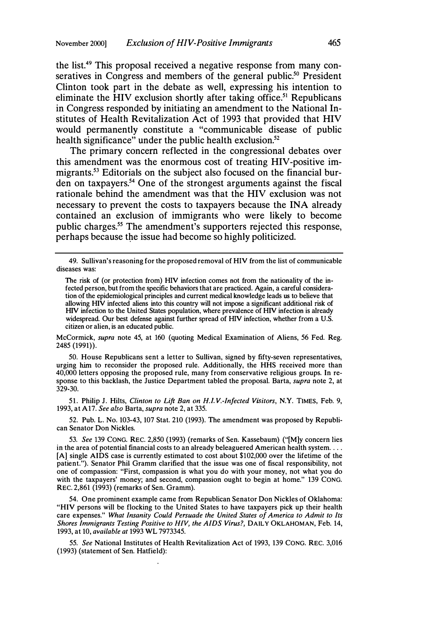the list.49 This proposal received a negative response from many conseratives in Congress and members of the general public.<sup>50</sup> President Clinton took part in the debate as well, expressing his intention to eliminate the HIV exclusion shortly after taking office.<sup>51</sup> Republicans in Congress responded by initiating an amendment to the National Institutes of Health Revitalization Act of 1993 that provided that HIV would permanently constitute a "communicable disease of public health significance" under the public health exclusion.<sup>52</sup>

The primary concern reflected in the congressional debates over this amendment was the enormous cost of treating HIV-positive immigrants.53 Editorials on the subject also focused on the financial burden on taxpayers.54 One of the strongest arguments against the fiscal rationale behind the amendment was that the HIV exclusion was not necessary to prevent the costs to taxpayers because the INA already contained an exclusion of immigrants who were likely to become public charges.55 The amendment's supporters rejected this response, perhaps because the issue had become so highly politicized.

McCormick, supra note 45, at 160 (quoting Medical Examination of Aliens, 56 Fed. Reg. 2485 (1991)).

50. House Republicans sent a letter to Sullivan, signed by fifty-seven representatives, urging him to reconsider the proposed rule. Additionally, the HHS received more than 40,000 letters opposing the proposed rule, many from conservative religious groups. In response to this backlash, the Justice Department tabled the proposal. Barta, supra note 2, at 329-30.

51. Philip J. Hilts, Clinton to Lift Ban on H.I.V.-Infected Visitors, N.Y. TIMES, Feb. 9, 1993, at A17. See also Barta, supra note 2, at 335.

52. Pub. L. No. 103-43, 107 Stat. 210 (1993). The amendment was proposed by Republican Senator Don Nickles.

53. See 139 CONG. REC. 2,850 (1993) (remarks of Sen. Kassebaum) ("[M]y concern lies in the area of potential financial costs to an already beleaguered American health system. . . . [A] single AIDS case is currently estimated to cost about \$102,000 over the lifetime of the patient."). Senator Phil Gramm clarified that the issue was one of fiscal responsibility, not one of compassion: "First, compassion is what you do with your money, not what you do with the taxpayers' money; and second, compassion ought to begin at home." 139 CONG. REC. 2,861 (1993) (remarks of Sen. Gramm).

54. One prominent example came from Republican Senator Don Nickles of Oklahoma: "HIV persons will be flocking to the United States to have taxpayers pick up their health care expenses." What Insanity Could Persuade the United States of America to Admit to Its Shores Immigrants Testing Positive to HIV, the AIDS Virus?, DAILY OKLAHOMAN, Feb. 14, 1993, at 10, available at 1993 WL 7973345.

55. See National Institutes of Health Revitalization Act of 1993, 139 CONG. REC. 3,016 (1993) (statement of Sen. Hatfield):

<sup>49.</sup> Sullivan's reasoning for the proposed removal of HIV from the list of communicable diseases was:

The risk of (or protection from) HIV infection comes not from the nationality of the infected person, but from the specific behaviors that are practiced. Again, a careful consideration of the epidemiological principles and current medical knowledge leads us to believe that allowing HIV infected aliens into this country will not impose a significant additional risk of HIV infection to the United States population, where prevalence of HIV infection is already widespread. Our best defense against further spread of HIV infection, whether from a U.S. citizen or alien, is an educated public.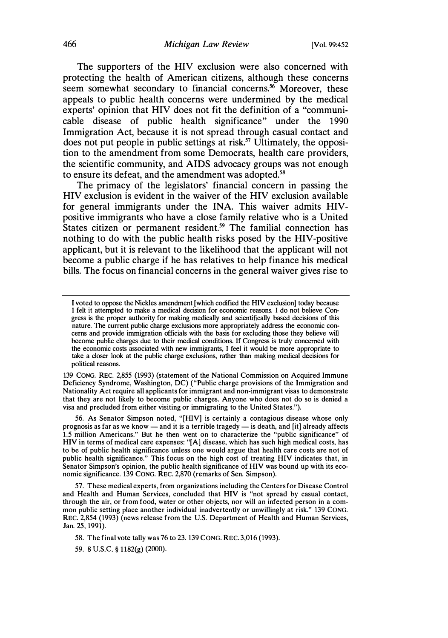The supporters of the HIV exclusion were also concerned with protecting the health of American citizens, although these concerns seem somewhat secondary to financial concerns.<sup>56</sup> Moreover, these appeals to public health concerns were undermined by the medical experts' opinion that HIV does not fit the definition of a "communicable disease of public health significance" under the 1990 Immigration Act, because it is not spread through casual contact and does not put people in public settings at risk.<sup>57</sup> Ultimately, the opposition to the amendment from some Democrats, health care providers, the scientific community, and AIDS advocacy groups was not enough to ensure its defeat, and the amendment was adopted.<sup>58</sup>

The primacy of the legislators' financial concern in passing the HIV exclusion is evident in the waiver of the HIV exclusion available for general immigrants under the INA. This waiver admits HIVpositive immigrants who have a close family relative who is a United States citizen or permanent resident.<sup>59</sup> The familial connection has nothing to do with the public health risks posed by the HIV-positive applicant, but it is relevant to the likelihood that the applicant will not become a public charge if he has relatives to help finance his medical bills. The focus on financial concerns in the general waiver gives rise to

139 CONG. REC. 2,855 (1993) (statement of the National Commission on Acquired Immune Deficiency Syndrome, Washington, DC) ("Public charge provisions of the Immigration and Nationality Act require all applicants for immigrant and non-immigrant visas to demonstrate that they are not likely to become public charges. Anyone who does not do so is denied a visa and precluded from either visiting or immigrating to the United States.").

56. As Senator Simpson noted, "[HIV] is certainly a contagious disease whose only prognosis as far as we know — and it is a terrible tragedy — is death, and [it] already affects 1.5 million Americans." But he then went on to characterize the "public significance" of HIV in terms of medical care expenses: "[A] disease, which has such high medical costs, has to be of public health significance unless one would argue that health care costs are not of public health significance." This focus on the high cost of treating HIV indicates that, in Senator Simpson's opinion, the public health significance of HIV was bound up with its economic significance. 139 CONG. REC. 2,870 (remarks of Sen. Simpson).

57. These medical experts, from organizations including the Centers for Disease Control and Health and Human Services, concluded that HIV is "not spread by casual contact, through the air, or from food, water or other objects, nor will an infected person in a common public setting place another individual inadvertently or unwillingly at risk." 139 CONG. REC. 2,854 (1993) (news release from the U.S. Department of Health and Human Services, Jan. 25, 1991).

58. The final vote tally was 76 to 23. 139 CONG. REC. 3,016 (1993).

59. 8 u.s.c. § 1182(g) (2000).

I voted to oppose the Nickles amendment [which codified the HIV exclusion] today because I felt it attempted to make a medical decision for economic reasons. I do not believe Congress is the proper authority for making medically and scientifically based decisions of this nature. The current public charge exclusions more appropriately address the economic concerns and provide immigration officials with the basis for excluding those they believe will become public charges due to their medical conditions. If Congress is truly concerned with the economic costs associated with new immigrants, I feel it would be more appropriate to take a closer look at the public charge exclusions, rather than making medical decisions for political reasons.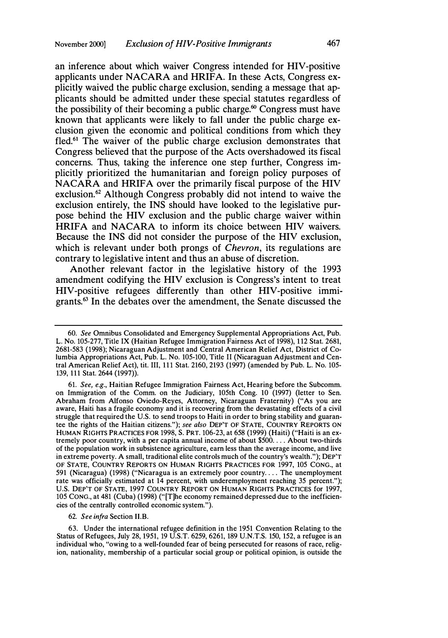an inference about which waiver Congress intended for HIV-positive applicants under NACARA and HRIFA. In these Acts, Congress explicitly waived the public charge exclusion, sending a message that applicants should be admitted under these special statutes regardless of the possibility of their becoming a public charge. $\omega$  Congress must have known that applicants were likely to fall under the public charge exclusion given the economic and political conditions from which they fled.<sup>61</sup> The waiver of the public charge exclusion demonstrates that Congress believed that the purpose of the Acts overshadowed its fiscal concerns. Thus, taking the inference one step further, Congress implicitly prioritized the humanitarian and foreign policy purposes of NACARA and HRIFA over the primarily fiscal purpose of the HIV exclusion.<sup>62</sup> Although Congress probably did not intend to waive the exclusion entirely, the INS should have looked to the legislative purpose behind the HIV exclusion and the public charge waiver within HRIFA and NACARA to inform its choice between HIV waivers. Because the INS did not consider the purpose of the HIV exclusion, which is relevant under both prongs of *Chevron*, its regulations are contrary to legislative intent and thus an abuse of discretion.

Another relevant factor in the legislative history of the 1993 amendment codifying the HIV exclusion is Congress's intent to treat HIV-positive refugees differently than other HIV-positive immigrants.63 In the debates over the amendment, the Senate discussed the

62. See infra Section 11.B.

63. Under the international refugee definition in the 1951 Convention Relating to the Status of Refugees, July 28, 1951, 19 U.S.T. 6259, 6261, 189 U.N.T.S. 150, 152, a refugee is an individual who, "owing to a well-founded fear of being persecuted for reasons of race, religion, nationality, membership of a particular social group or political opinion, is outside the

<sup>60.</sup> See Omnibus Consolidated and Emergency Supplemental Appropriations Act, Pub. L. No. 105-277, Title IX (Haitian Refugee Immigration Fairness Act of 1998), 112 Stat. 2681, 2681-583 (1998); Nicaraguan Adjustment and Central American Relief Act, District of Columbia Appropriations Act, Pub. L. No. 105-100, Title II (Nicaraguan Adjustment and Central American Relief Act), tit. III, 111 Stat. 2160, 2193 (1997) (amended by Pub. L. No. 105- 139, 111 Stat. 2644 (1997)).

<sup>61.</sup> See, e.g., Haitian Refugee Immigration Fairness Act, Hearing before the Subcomm. on Immigration of the Comm. on the Judiciary, 105th Cong. 10 (1997) (letter to Sen. Abraham from Alfonso Oviedo-Reyes, Attorney, Nicaraguan Fraternity) ("As you are aware, Haiti has a fragile economy and it is recovering from the devastating effects of a civil struggle that required the U.S. to send troops to Haiti in order to bring stability and guarantee the rights of the Haitian citizens."); see also DEP'T OF STATE, COUNTRY REPORTS ON HUMAN RIGHTS PRACTICES FOR 1998, s. PRT. 106-23, at 658 (1999) (Haiti) ("Haiti is an extremely poor country, with a per capita annual income of about \$500 .... About two-thirds of the population work in subsistence agriculture, earn less than the average income, and live in extreme poverty. A small, traditional elite controls much of the country's wealth."); DEP'T OF STATE, COUNTRY REPORTS ON HUMAN RIGHTS PRACTICES FOR 1997, 105 CONG., at 591 (Nicaragua) (1998) ("Nicaragua is an extremely poor country .... The unemployment rate was officially estimated at 14 percent, with underemployment reaching 35 percent."); U.S. DEP'T OF STATE, 1997 COUNTRY REPORT ON HUMAN RIGHTS PRACTICES for 1997, 105 CONG., at 481 (Cuba) (1998) ("[T]he economy remained depressed due to the inefficiencies of the centrally controlled economic system.").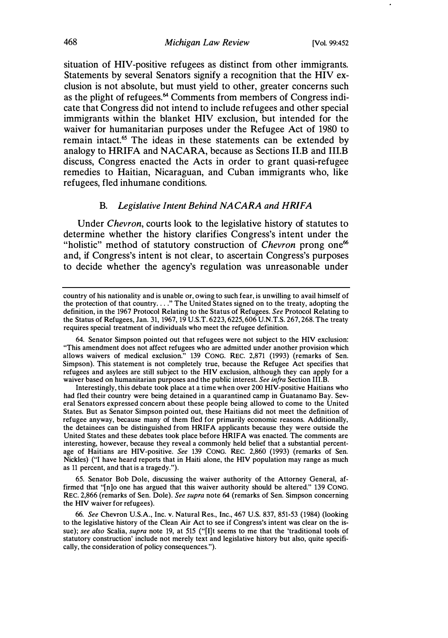situation of HIV-positive refugees as distinct from other immigrants. Statements by several Senators signify a recognition that the HIV exclusion is not absolute, but must yield to other, greater concerns such as the plight of refugees.<sup>64</sup> Comments from members of Congress indicate that Congress did not intend to include refugees and other special immigrants within the blanket HIV exclusion, but intended for the waiver for humanitarian purposes under the Refugee Act of 1980 to remain intact.<sup>65</sup> The ideas in these statements can be extended by analogy to HRIFA and NACARA, because as Sections II.B and III.B discuss, Congress enacted the Acts in order to grant quasi-refugee remedies to Haitian, Nicaraguan, and Cuban immigrants who, like refugees, fled inhumane conditions.

### B. Legislative Intent Behind NACARA and HR/FA

Under Chevron, courts look to the legislative history of statutes to determine whether the history clarifies Congress's intent under the "holistic" method of statutory construction of *Chevron* prong one<sup>66</sup> and, if Congress's intent is not clear, to ascertain Congress's purposes to decide whether the agency's regulation was unreasonable under

65. Senator Bob Dole, discussing the waiver authority of the Attorney General, affirmed that "[n]o one has argued that this waiver authority should be altered." 139 CONG. REC. 2,866 (remarks of Sen. Dole). See supra note 64 (remarks of Sen. Simpson concerning the HIV waiver for refugees).

country of his nationality and is unable or, owing to such fear, is unwilling to avail himself of the protection of that country .... " The United States signed on to the treaty, adopting the definition, in the 1967 Protocol Relating to the Status of Refugees. See Protocol Relating to the Status of Refugees, Jan. 31, 1967, 19 U.S.T. 6223, 6225, 606 U.N.T.S. 267, 268. The treaty requires special treatment of individuals who meet the refugee definition.

<sup>64.</sup> Senator Simpson pointed out that refugees were not subject to the HIV exclusion: "This amendment does not affect refugees who are admitted under another provision which allows waivers of medical exclusion." 139 CONG. REC. 2,871 (1993) (remarks of Sen. Simpson). This statement is not completely true, because the Refugee Act specifies that refugees and asylees are still subject to the HIV exclusion, although they can apply for a waiver based on humanitarian purposes and the public interest. See infra Section III.B.

Interestingly, this debate took place at a time when over 200 HIV-positive Haitians who had fled their country were being detained in a quarantined camp in Guatanamo Bay. Several Senators expressed concern about these people being allowed to come to the United States. But as Senator Simpson pointed out, these Haitians did not meet the definition of refugee anyway, because many of them fled for primarily economic reasons. Additionally, the detainees can be distinguished from HRIF A applicants because they were outside the United States and these debates took place before HRIFA was enacted. The comments are interesting, however, because they reveal a commonly held belief that a substantial percentage of Haitians are HIV-positive. See 139 CONG. REC. 2,860 (1993) (remarks of Sen. Nickles) ("I have heard reports that in Haiti alone, the HIV population may range as much as 11 percent, and that is a tragedy.").

<sup>66.</sup> See Chevron U.S.A., Inc. v. Natural Res., Inc., 467 U.S. 837, 851-53 (1984) (looking to the legislative history of the Clean Air Act to see if Congress's intent was clear on the issue); see also Scalia, supra note 19, at 515 ("[I]t seems to me that the 'traditional tools of statutory construction' include not merely text and legislative history but also, quite specifically, the consideration of policy consequences.").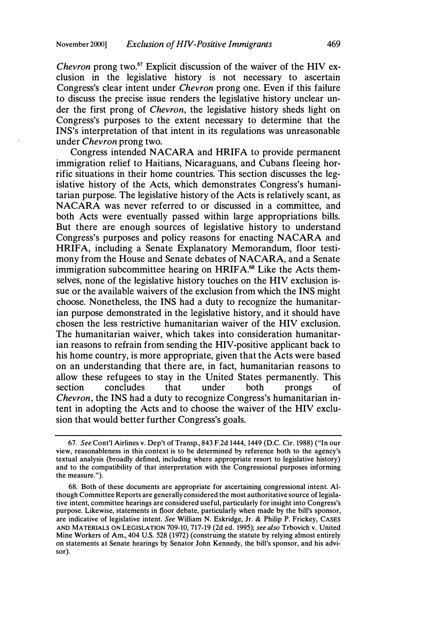Chevron prong two. $67$  Explicit discussion of the waiver of the HIV exclusion in the legislative history is not necessary to ascertain Congress's clear intent under Chevron prong one. Even if this failure to discuss the precise issue renders the legislative history unclear under the first prong of Chevron, the legislative history sheds light on Congress's purposes to the extent necessary to determine that the INS's interpretation of that intent in its regulations was unreasonable under Chevron prong two.

Congress intended NACARA and HRIFA to provide permanent immigration relief to Haitians, Nicaraguans, and Cubans fleeing horrific situations in their home countries. This section discusses the legislative history of the Acts, which demonstrates Congress's humanitarian purpose. The legislative history of the Acts is relatively scant, as NACARA was never referred to or discussed in a committee, and both Acts were eventually passed within large appropriations bills. But there are enough sources of legislative history to understand Congress's purposes and policy reasons for enacting NACARA and HRIFA, including a Senate Explanatory Memorandum, floor testimony from the House and Senate debates of NACARA, and a Senate immigration subcommittee hearing on HRIFA.<sup>68</sup> Like the Acts themselves, none of the legislative history touches on the HIV exclusion issue or the available waivers of the exclusion from which the INS might choose. Nonetheless, the INS had a duty to recognize the humanitarian purpose demonstrated in the legislative history, and it should have chosen the less restrictive humanitarian waiver of the HIV exclusion. The humanitarian waiver, which takes into consideration humanitarian reasons to refrain from sending the HIV-positive applicant back to his home country, is more appropriate, given that the Acts were based on an understanding that there are, in fact, humanitarian reasons to allow these refugees to stay in the United States permanently. This section concludes that under both prongs of Chevron, the INS had a duty to recognize Congress's humanitarian intent in adopting the Acts and to choose the waiver of the HIV exclusion that would better further Congress's goals.

<sup>67.</sup> See Cont'! Airlines v. Dep't of Transp., 843 F.2d 1444, 1449 (D.C. Cir. 1988) ("In our view, reasonableness in this context is to be determined by reference both to the agency's textual analysis (broadly defined, including where appropriate resort to legislative history) and to the compatibility of that interpretation with the Congressional purposes informing the measure.").

<sup>68.</sup> Both of these documents are appropriate for ascertaining congressional intent. Although Committee Reports are generally considered the most authoritative source of legislative intent, committee hearings are considered useful, particularly for insight into Congress's purpose. Likewise, statements in floor debate, particularly when made by the bill's sponsor, are indicative of legislative intent. See William N. Eskridge, Jr. & Philip P. Frickey, CASES AND MATERIALS ON LEGISLATION 709-10, 717-19 (2d ed. 1995); see also Trbovich v. United Mine Workers of Am., 404 U.S. 528 (1972) (construing the statute by relying almost entirely on statements at Senate hearings by Senator John Kennedy, the bill's sponsor, and his advisor).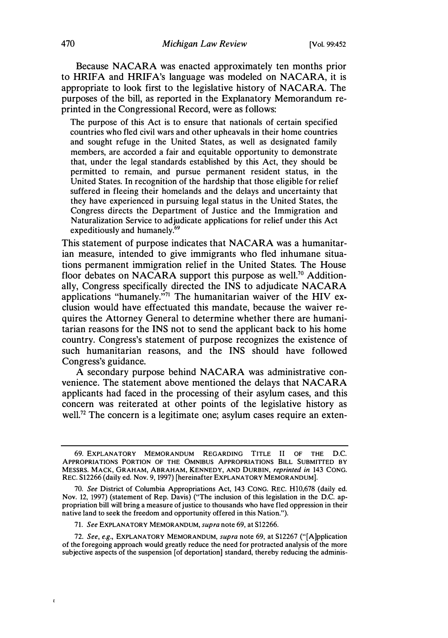Because NACARA was enacted approximately ten months prior to HRIFA and HRIFA's language was modeled on NACARA, it is appropriate to look first to the legislative history of NACARA. The purposes of the bill, as reported in the Explanatory Memorandum reprinted in the Congressional Record, were as follows:

The purpose of this Act is to ensure that nationals of certain specified countries who fled civil wars and other upheavals in their home countries and sought refuge in the United States, as well as designated family members, are accorded a fair and equitable opportunity to demonstrate that, under the legal standards established by this Act, they should be permitted to remain, and pursue permanent resident status, in the United States. In recognition of the hardship that those eligible for relief suffered in fleeing their homelands and the delays and uncertainty that they have experienced in pursuing legal status in the United States, the Congress directs the Department of Justice and the Immigration and Naturalization Service to adjudicate applications for relief under this Act expeditiously and humanely.<sup>69</sup>

This statement of purpose indicates that NACARA was a humanitarian measure, intended to give immigrants who fled inhumane situations permanent immigration relief in the United States. The House floor debates on NACARA support this purpose as well.<sup>70</sup> Additionally, Congress specifically directed the INS to adjudicate NACARA applications "humanely."71 The humanitarian waiver of the HIV exclusion would have effectuated this mandate, because the waiver requires the Attorney General to determine whether there are humanitarian reasons for the INS not to send the applicant back to his home country. Congress's statement of purpose recognizes the existence of such humanitarian reasons, and the INS should have followed Congress's guidance.

A secondary purpose behind NACARA was administrative convenience. The statement above mentioned the delays that NACARA applicants had faced in the processing of their asylum cases, and this concern was reiterated at other points of the legislative history as well.<sup>72</sup> The concern is a legitimate one; asylum cases require an exten-

 $\mathbf{r}$ 

<sup>69.</sup> EXPLANATORY MEMORANDUM REGARDING TITLE II OF THE D.C. APPROPRIATIONS PORTION OF THE OMNIBUS APPROPRIATIONS BILL SUBMITTED BY MESSRS. MACK, GRAHAM, ABRAHAM, KENNEDY, AND DURBIN, reprinted in 143 CONG. REC. Sl2266 (daily ed. Nov. 9, 1997) [hereinafter EXPLANATORY MEMORANDUM).

<sup>70.</sup> See District of Columbia Appropriations Act, 143 CONG. REC. Hl0,678 (daily ed. Nov. 12, 1997) (statement of Rep. Davis) ("The inclusion of this legislation in the D.C. appropriation bill will bring a measure of justice to thousands who have fled oppression in their native land to seek the freedom and opportunity offered in this Nation.").

<sup>71.</sup> See EXPLANATORY MEMORANDUM, supra note 69, at Sl2266.

<sup>72.</sup> See, e.g., EXPLANATORY MEMORANDUM, supra note 69, at S12267 ("[A)pplication of the foregoing approach would greatly reduce the need for protracted analysis of the more subjective aspects of the suspension [of deportation] standard, thereby reducing the adminis-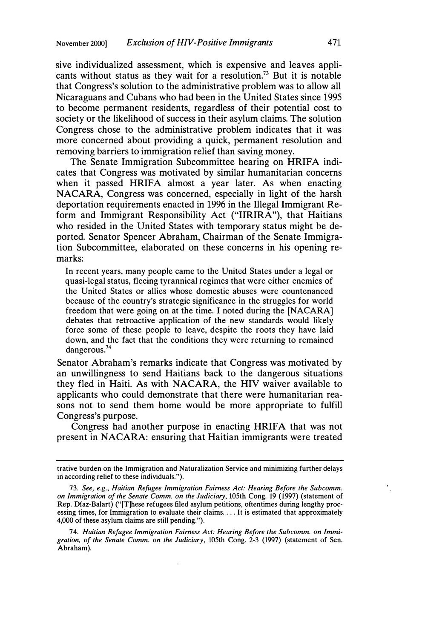sive individualized assessment, which is expensive and leaves applicants without status as they wait for a resolution.73 But it is notable that Congress's solution to the administrative problem was to allow all Nicaraguans and Cubans who had been in the United States since 1995 to become permanent residents, regardless of their potential cost to society or the likelihood of success in their asylum claims. The solution Congress chose to the administrative problem indicates that it was more concerned about providing a quick, permanent resolution and removing barriers to immigration relief than saving money.

The Senate Immigration Subcommittee hearing on HRIFA indicates that Congress was motivated by similar humanitarian concerns when it passed HRIFA almost a year later. As when enacting NACARA, Congress was concerned, especially in light of the harsh deportation requirements enacted in 1996 in the Illegal Immigrant Reform and Immigrant Responsibility Act ("IIRIRA"), that Haitians who resided in the United States with temporary status might be deported. Senator Spencer Abraham, Chairman of the Senate Immigration Subcommittee, elaborated on these concerns in his opening remarks:

In recent years, many people came to the United States under a legal or quasi-legal status, fleeing tyrannical regimes that were either enemies of the United States or allies whose domestic abuses were countenanced because of the country's strategic significance in the struggles for world freedom that were going on at the time. I noted during the (NACARA) debates that retroactive application of the new standards would likely force some of these people to leave, despite the roots they have laid down, and the fact that the conditions they were returning to remained dangerous.74

Senator Abraham's remarks indicate that Congress was motivated by an unwillingness to send Haitians back to the dangerous situations they fled in Haiti. As with NACARA, the HIV waiver available to applicants who could demonstrate that there were humanitarian reasons not to send them home would be more appropriate to fulfill Congress's purpose.

Congress had another purpose in enacting HRIFA that was not present in NACARA: ensuring that Haitian immigrants were treated

74. Haitian Refugee Immigration Fairness Act: Hearing Before the Subcomm. on Immigration, of the Senate Comm. on the Judiciary, 105th Cong. 2-3 (1997) (statement of Sen. Abraham).

trative burden on the Immigration and Naturalization Service and minimizing further delays in according relief to these individuals.").

<sup>73.</sup> See, e.g., Haitian Refugee Immigration Fairness Act: Hearing Before the Subcomm. on Immigration of the Senate Comm. on the Judiciary, 105th Cong. 19 (1997) (statement of Rep. Dfaz-Balart) ("[T]hese refugees filed asylum petitions, oftentimes during lengthy processing times, for Immigration to evaluate their claims .... It is estimated that approximately 4,000 of these asylum claims are still pending.").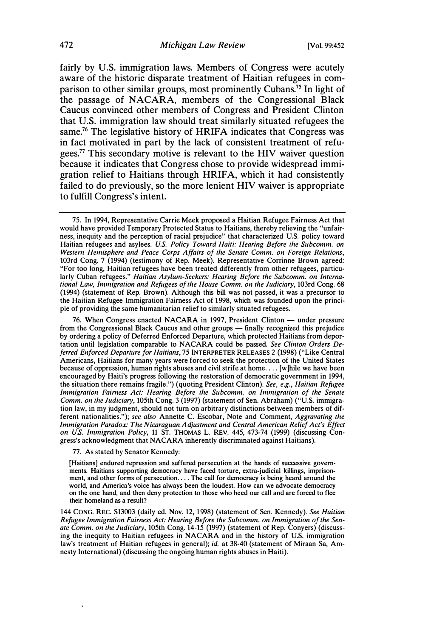fairly by U.S. immigration laws. Members of Congress were acutely aware of the historic disparate treatment of Haitian refugees in comparison to other similar groups, most prominently Cubans.<sup>75</sup> In light of the passage of NACARA, members of the Congressional Black Caucus convinced other members of Congress and President Clinton that U.S. immigration law should treat similarly situated refugees the same.<sup>76</sup> The legislative history of HRIFA indicates that Congress was in fact motivated in part by the lack of consistent treatment of refugees.77 This secondary motive is relevant to the HIV waiver question because it indicates that Congress chose to provide widespread immigration relief to Haitians through HRIFA, which it had consistently failed to do previously, so the more lenient HIV waiver is appropriate to fulfill Congress's intent.

76. When Congress enacted NACARA in 1997, President Clinton — under pressure from the Congressional Black Caucus and other groups — finally recognized this prejudice by ordering a policy of Deferred Enforced Departure, which protected Haitians from deportation until legislation comparable to NACARA could be passed. See Clinton Orders Deferred Enforced Departure for Haitians, 75 INTERPRETER RELEASES 2 (1998) ("Like Central Americans, Haitians for many years were forced to seek the protection of the United States because of oppression, human rights abuses and civil strife at home .... [w]hile we have been encouraged by Haiti's progress following the restoration of democratic government in 1994, the situation there remains fragile.") (quoting President Clinton). See, e.g., Haitian Refugee Immigration Fairness Act: Hearing Before the Subcomm. on Immigration of the Senate Comm. on the Judiciary, 105th Cong. 3 (1997) (statement of Sen. Abraham) ("U.S. immigration law, in my judgment, should not turn on arbitrary distinctions between members of different nationalities."); see also Annette C. Escobar, Note and Comment, Aggravating the Immigration Paradox: The Nicaraguan Adjustment and Central American Relief Act's Effect on U.S. Immigration Policy, 11 ST. THOMAS L. REV. 445, 473-74 (1999) (discussing Congress's acknowledgment that NACARA inherently discriminated against Haitians).

77. As stated by Senator Kennedy:

[Haitians] endured repression and suffered persecution at the hands of successive governments. Haitians supporting democracy have faced torture, extra-judicial killings, imprisonment, and other forms of persecution .... The call for democracy is being heard around the world, and America's voice has always been the loudest. How can we advocate democracy on the one hand, and then deny protection to those who heed our call and are forced to flee their homeland as a result?

144 CONG. REC. S13003 (daily ed. Nov. 12, 1998) (statement of Sen. Kennedy). See Haitian Refugee Immigration Fairness Act: Hearing Before the Subcomm. on Immigration of the Senate Comm. on the Judiciary, 105th Cong. 14-15 (1997) (statement of Rep. Conyers) (discussing the inequity to Haitian refugees in NACARA and in the history of U.S. immigration law's treatment of Haitian refugees in general); *id.* at 38-40 (statement of Miraan Sa, Amnesty International) (discussing the ongoing human rights abuses in Haiti).

<sup>75.</sup> In 1994, Representative Carrie Meek proposed a Haitian Refugee Fairness Act that would have provided Temporary Protected Status to Haitians, thereby relieving the "unfairness, inequity and the perception of racial prejudice" that characterized U.S. policy toward Haitian refugees and asylees. U.S. Policy Toward Haiti: Hearing Before the Subcomm. on Western Hemisphere and Peace Corps Affairs of the Senate Comm. on Foreign Relations, 103rd Cong. 7 (1994) (testimony of Rep. Meek). Representative Corrinne Brown agreed: "For too long, Haitian refugees have been treated differently from other refugees, particularly Cuban refugees." Haitian Asylum-Seekers: Hearing Before the Subcomm. on International Law, Immigration and Refugees of the House Comm. on the Judiciary, 103rd Cong. 68 (1994) (statement of Rep. Brown). Although this bill was not passed, it was a precursor to the Haitian Refugee Immigration Fairness Act of 1998, which was founded upon the principle of providing the same humanitarian relief to similarly situated refugees.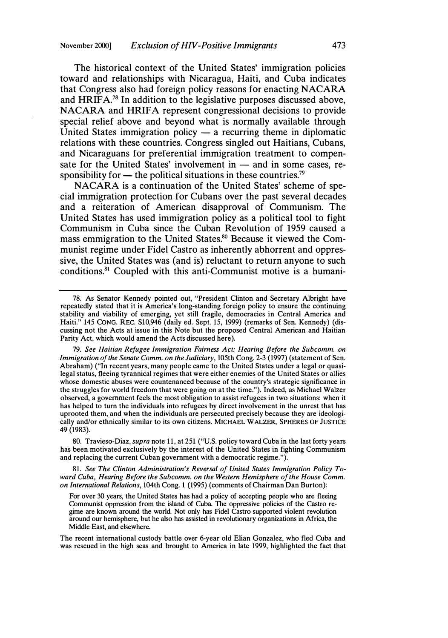The historical context of the United States' immigration policies toward and relationships with Nicaragua, Haiti, and Cuba indicates that Congress also had foreign policy reasons for enacting NACARA and HRIFA.<sup>78</sup> In addition to the legislative purposes discussed above, NACARA and HRIFA represent congressional decisions to provide special relief above and beyond what is normally available through United States immigration policy  $-$  a recurring theme in diplomatic relations with these countries. Congress singled out Haitians, Cubans, and Nicaraguans for preferential immigration treatment to compensate for the United States' involvement in  $-$  and in some cases, responsibility for  $-$  the political situations in these countries.<sup>79</sup>

NACARA is a continuation of the United States' scheme of special immigration protection for Cubans over the past several decades and a reiteration of American disapproval of Communism. The United States has used immigration policy as a political tool to fight Communism in Cuba since the Cuban Revolution of 1959 caused a mass emmigration to the United States.<sup>80</sup> Because it viewed the Communist regime under Fidel Castro as inherently abhorrent and oppressive, the United States was (and is) reluctant to return anyone to such conditions.<sup>81</sup> Coupled with this anti-Communist motive is a humani-

80. Travieso-Diaz, supra note 11, at 251 ("U.S. policy toward Cuba in the last forty years has been motivated exclusively by the interest of the United States in fighting Communism and replacing the current Cuban government with a democratic regime.").

81. See The Clinton Administration's Reversal of United States Immigration Policy Toward Cuba, Hearing Before the Subcomm. on the Western Hemisphere of the House Comm. on International Relations, 104th Cong. 1 (1995) (comments of Chairman Dan Burton):

For over 30 years, the United States has had a policy of accepting people who are fleeing Communist oppression from the island of Cuba. The oppressive policies of the Castro regime are known around the world. Not only has Fidel Castro supported violent revolution around our hemisphere, but he also has assisted in revolutionary organizations in Africa, the Middle East, and elsewhere.

The recent international custody battle over 6-year old Elian Gonzalez, who fled Cuba and was rescued in the high seas and brought to America in late 1999, highlighted the fact that

<sup>78.</sup> As Senator Kennedy pointed out, "President Clinton and Secretary Albright have repeatedly stated that it is America's long-standing foreign policy to ensure the continuing stability and viability of emerging, yet still fragile, democracies in Central America and Haiti." 145 CONG. REC. Sl0,946 (daily ed. Sept. 15, 1999) (remarks of Sen. Kennedy) (discussing not the Acts at issue in this Note but the proposed Central American and Haitian Parity Act, which would amend the Acts discussed here).

<sup>79.</sup> See Haitian Refugee Immigration Fairness Act: Hearing Before the Subcomm. on Immigration of the Senate Comm. on the Judiciary, 105th Cong. 2-3 (1997) (statement of Sen. Abraham) ("In recent years, many people came to the United States under a legal or quasilegal status, fleeing tyrannical regimes that were either enemies of the United States or allies whose domestic abuses were countenanced because of the country's strategic significance in the struggles for world freedom that were going on at the time."). Indeed, as Michael Walzer observed, a government feels the most obligation to assist refugees in two situations: when it has helped to turn the individuals into refugees by direct involvement in the unrest that has uprooted them, and when the individuals are persecuted precisely because they are ideologically and/or ethnically similar to its own citizens. MICHAEL w ALZER, SPHERES OF JUSTICE 49 (1983).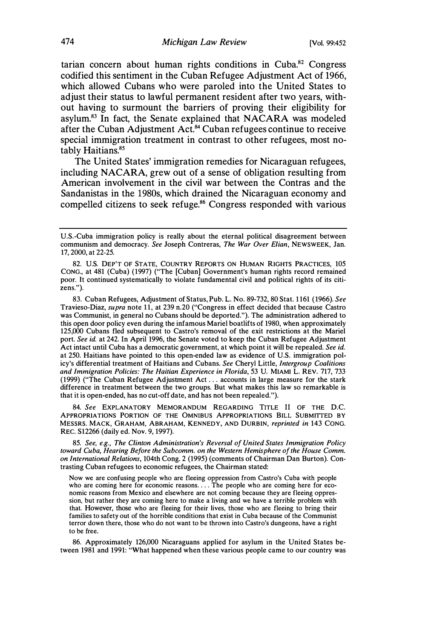tarian concern about human rights conditions in Cuba.<sup>82</sup> Congress codified this sentiment in the Cuban Refugee Adjustment Act of 1966, which allowed Cubans who were paroled into the United States to adjust their status to lawful permanent resident after two years, without having to surmount the barriers of proving their eligibility for asylum.83 In fact, the Senate explained that NACARA was modeled after the Cuban Adjustment Act.84 Cuban refugees continue to receive special immigration treatment in contrast to other refugees, most notably Haitians.<sup>85</sup>

The United States' immigration remedies for Nicaraguan refugees, including NACARA, grew out of a sense of obligation resulting from American involvement in the civil war between the Contras and the Sandanistas in the 1980s, which drained the Nicaraguan economy and compelled citizens to seek refuge.<sup>86</sup> Congress responded with various

83. Cuban Refugees, Adjustment of Status, Pub. L. No. 89-732, 80 Stat. 1161 (1966). See Travieso-Diaz, supra note 11, at 239 n.20 ("Congress in effect decided that because Castro was Communist, in general no Cubans should be deported."). The administration adhered to this open door policy even during the infamous Mariel boatlifts of 1980, when approximately 125,000 Cubans fled subsequent to Castro's removal of the exit restrictions at the Mariel port. See id. at 242. In April 1996, the Senate voted to keep the Cuban Refugee Adjustment Act intact until Cuba has a democratic government, at which point it will be repealed. See id. at 250. Haitians have pointed to this open-ended law as evidence of U.S. immigration policy's differential treatment of Haitians and Cubans. See Cheryl Little, Intergroup Coalitions and Immigration Policies: The Haitian Experience in Florida, 53 U. MIAMI L. REV. 717, 733 (1999) ("The Cuban Refugee Adjustment Act ... accounts in large measure for the stark difference in treatment between the two groups. But what makes this law so remarkable is that it is open-ended, has no cut-off date, and has not been repealed.").

84. See EXPLANATORY MEMORANDUM REGARDING TITLE II OF THE D.C. APPROPRIATIONS PORTION OF THE OMNIBUS APPROPRIATIONS BILL SUBMITTED BY MESSRS. MACK, GRAHAM, ABRAHAM, KENNEDY, AND DURBIN, reprinted in 143 CONG. REC. S12266 (daily ed. Nov. 9, 1997).

85. See, e.g., The Clinton Administration's Reversal of United States Immigration Policy toward Cuba, Hearing Before the Subcomm. on the Western Hemisphere of the House Comm. on International Relations, 104th Cong. 2 (1995) (comments of Chairman Dan Burton). Contrasting Cuban refugees to economic refugees, the Chairman stated:

Now we are confusing people who are fleeing oppression from Castro's Cuba with people who are coming here for economic reasons .... The people who are coming here for economic reasons from Mexico and elsewhere are not coming because they are fleeing oppression, but rather they are coming here to make a living and we have a terrible problem with that. However, those who are fleeing for their lives, those who are fleeing to bring their families to safety out of the horrible conditions that exist in Cuba because of the Communist terror down there, those who do not want to be thrown into Castro's dungeons, have a right to be free.

86. Approximately 126,000 Nicaraguans applied for asylum in the United States between 1981 and 1991: "What happened when these various people came to our country was

U.S.-Cuba immigration policy is really about the eternal political disagreement between communism and democracy. See Joseph Contreras, The War Over Elian, NEWSWEEK, Jan. 17, 2000, at 22-25.

<sup>82.</sup> U.S. DEP'T OF STATE, COUNTRY REPORTS ON HUMAN RIGHTS PRACTICES, 105 CONG., at 481 (Cuba) (1997) ("The (Cuban] Government's human rights record remained poor. It continued systematically to violate fundamental civil and political rights of its citizens.").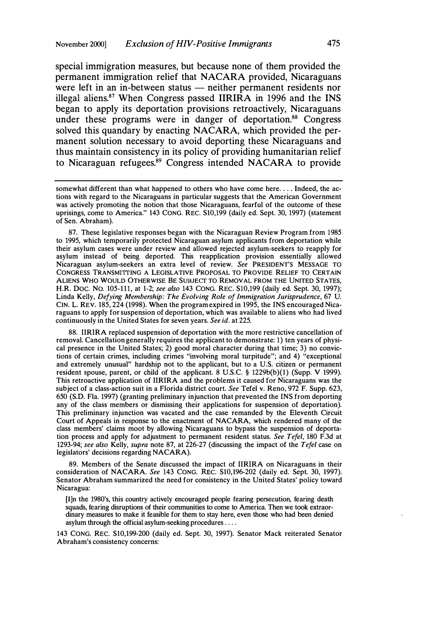special immigration measures, but because none of them provided the permanent immigration relief that NACARA provided, Nicaraguans were left in an in-between status — neither permanent residents nor illegal aliens.<sup>87</sup> When Congress passed IIRIRA in 1996 and the INS began to apply its deportation provisions retroactively, Nicaraguans under these programs were in danger of deportation.<sup>88</sup> Congress solved this quandary by enacting NACARA, which provided the permanent solution necessary to avoid deporting these Nicaraguans and thus maintain consistency in its policy of providing humanitarian relief to Nicaraguan refugees.<sup>89</sup> Congress intended NACARA to provide

87. These legislative responses began with the Nicaraguan Review Program from 1985 to 1995, which temporarily protected Nicaraguan asylum applicants from deportation while their asylum cases were under review and allowed rejected asylum-seekers to reapply for asylum instead of being deported. This reapplication provision essentially allowed Nicaraguan asylum-seekers an extra level of review. See PRESIDENT'S MESSAGE TO CONGRESS TRANSMITTING A LEGISLATIVE PROPOSAL TO PROVIDE RELIEF TO CERTAIN ALIENS WHO WOULD OTHERWISE BE SUBJECT TO REMOVAL FROM THE UNITED STATES, H.R. Doc. No. 105-111, at 1-2; see also 143 CONG. REC. Sl0,199 (daily ed. Sept. 30, 1997); Linda Kelly, Defying Membership: The Evolving Role of Immigration Jurisprudence, 67 U. CIN. L. REV. 185, 224 (1998). When the program expired in 1995, the INS encouraged Nicaraguans to apply for suspension of deportation, which was available to aliens who had lived continuously in the United States for seven years. See id. at 225.

88. IIRIRA replaced suspension of deportation with the more restrictive cancellation of removal. Cancellation generally requires the applicant to demonstrate: 1) ten years of physical presence in the United States; 2) good moral character during that time; 3) no convictions of certain crimes, including crimes "involving moral turpitude"; and 4) "exceptional and extremely unusual" hardship not to the applicant, but to a U.S. citizen or permanent resident spouse, parent, or child of the applicant. 8 U.S.C. § 1229b(b)(1) (Supp. V 1999). This retroactive application of IIRIRA and the problems it caused for Nicaraguans was the subject of a class-action suit in a Florida district court. See Tefel v. Reno, 972 F. Supp. 623, 650 (S.D. Fla. 1997) (granting preliminary injunction that prevented the INS from deporting any of the class members or dismissing their applications for suspension of deportation). This preliminary injunction was vacated and the case remanded by the Eleventh Circuit Court of Appeals in response to the enactment of NACARA, which rendered many of the class members' claims moot by allowing Nicaraguans to bypass the suspension of deportation process and apply for adjustment to permanent resident status. See Tefel, 180 F.3d at 1293-94; see also Kelly, supra note 87, at 226-27 (discussing the impact of the Tefel case on legislators' decisions regarding NACARA).

89. Members of the Senate discussed the impact of IIRIRA on Nicaraguans in their consideration of NACARA. See 143 CONG. REC. Sl0,196-202 (daily ed. Sept. 30, 1997). Senator Abraham summarized the need for consistency in the United States' policy toward Nicaragua:

[I]n the 1980's, this country actively encouraged people fearing persecution, fearing death squads, fearing disruptions of their communities to come to America. Then we took extraordinary measures to make it feasible for them to stay here, even those who had been denied asylum through the official asylum-seeking procedures ....

143 CONG. REC. Sl0,199-200 (daily ed. Sept. 30, 1997). Senator Mack reiterated Senator Abraham's consistency concerns:

somewhat different than what happened to others who have come here .... Indeed, the actions with regard to the Nicaraguans in particular suggests that the American Government was actively promoting the notion that those Nicaraguans, fearful of the outcome of these uprisings, come to America." 143 CONG. REC. Sl0,199 (daily ed. Sept. 30, 1997) (statement of Sen. Abraham).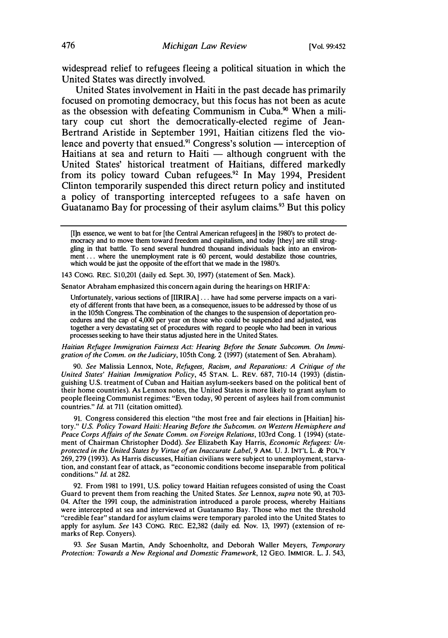widespread relief to refugees fleeing a political situation in which the United States was directly involved.

United States involvement in Haiti in the past decade has primarily focused on promoting democracy, but this focus has not been as acute as the obsession with defeating Communism in Cuba.<sup>90</sup> When a military coup cut short the democratically-elected regime of Jean-Bertrand Aristide in September 1991, Haitian citizens fled the violence and poverty that ensued. $91$  Congress's solution  $-$  interception of Haitians at sea and return to Haiti  $-$  although congruent with the United States' historical treatment of Haitians, differed markedly from its policy toward Cuban refugees.<sup>92</sup> In May 1994, President Clinton temporarily suspended this direct return policy and instituted a policy of transporting intercepted refugees to a safe haven on Guatanamo Bay for processing of their asylum claims.<sup>93</sup> But this policy

143 CONG. REC. Sl0,201 (daily ed. Sept. 30, 1997) (statement of Sen. Mack).

Senator Abraham emphasized this concern again during the hearings on HRIFA:

Unfortunately, various sections of [IIRIRA] ... have had some perverse impacts on a variety of different fronts that have been, as a consequence, issues to be addressed by those of us in the 105th Congress. The combination of the changes to the suspension of deportation procedures and the cap of 4,000 per year on those who could be suspended and adjusted, was together a very devastating set of procedures with regard to people who had been in various processes seeking to have their status adjusted here in the United States.

Haitian Refugee Immigration Fairness Act: Hearing Before the Senate Subcomm. On Immigration of the Comm. on the Judiciary, 105th Cong. 2 (1997) (statement of Sen. Abraham).

90. See Malissia Lennox, Note, Refugees, Racism, and Reparations: A Critique of the United States' Haitian Immigration Policy, 45 STAN. L. REV. 687, 710-14 (1993) (distinguishing U.S. treatment of Cuban and Haitian asylum-seekers based on the political bent of their home countries). As Lennox notes, the United States is more likely to grant asylum to people fleeing Communist regimes: "Even today, 90 percent of asylees hail from communist countries." Id. at 711 (citation omitted).

91. Congress considered this election "the most free and fair elections in [Haitian) history." U.S. Policy Toward Haiti: Hearing Before the Subcomm. on Western Hemisphere and Peace Corps Affairs of the Senate Comm. on Foreign Relations, 103rd Cong. 1 (1994) (statement of Chairman Christopher Dodd). See Elizabeth Kay Harris, Economic Refugees: Unprotected in the United States by Virtue of an Inaccurate Label, 9 AM. U. J. INT'L L. & POL'Y 269, 279 (1993). As Harris discusses, Haitian civilians were subject to unemployment, starvation, and constant fear of attack, as "economic conditions become inseparable from political conditions." Id. at 282.

92. From 1981 to 1991, U.S. policy toward Haitian refugees consisted of using the Coast Guard to prevent them from reaching the United States. See Lennox, supra note 90, at 703-04. After the 1991 coup, the administration introduced a parole process, whereby Haitians were intercepted at sea and interviewed at Guatanamo Bay. Those who met the threshold "credible fear" standard for asylum claims were temporary paroled into the United States to apply for asylum. See 143 CONG. REC. E2,382 (daily ed. Nov. 13, 1997) (extension of remarks of Rep. Conyers).

93. See Susan Martin, Andy Schoenholtz, and Deborah Waller Meyers, Temporary Protection: Towards a New Regional and Domestic Framework, 12 GEO. IMMIGR. L. J. 543,

<sup>[</sup>I]n essence, we went to bat for [the Central American refugees] in the 1980's to protect democracy and to move them toward freedom and capitalism, and today [they] are still struggling in that battle. To send several hundred thousand individuals back into an environment ... where the unemployment rate is 60 percent, would destabilize those countries, which would be just the opposite of the effort that we made in the 1980's.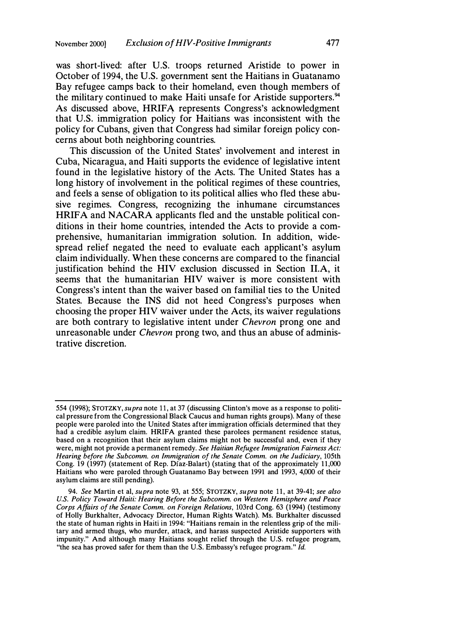was short-lived: after U.S. troops returned Aristide to power in October of 1994, the U.S. government sent the Haitians in Guatanamo Bay refugee camps back to their homeland, even though members of the military continued to make Haiti unsafe for Aristide supporters.<sup>94</sup> As discussed above, HRIFA represents Congress's acknowledgment that U.S. immigration policy for Haitians was inconsistent with the policy for Cubans, given that Congress had similar foreign policy concerns about both neighboring countries.

This discussion of the United States' involvement and interest in Cuba, Nicaragua, and Haiti supports the evidence of legislative intent found in the legislative history of the Acts. The United States has a long history of involvement in the political regimes of these countries, and feels a sense of obligation to its political allies who fled these abusive regimes. Congress, recognizing the inhumane circumstances HRIFA and NACARA applicants fled and the unstable political conditions in their home countries, intended the Acts to provide a comprehensive, humanitarian immigration solution. In addition, widespread relief negated the need to evaluate each applicant's asylum claim individually. When these concerns are compared to the financial justification behind the HIV exclusion discussed in Section II.A, it seems that the humanitarian HIV waiver is more consistent with Congress's intent than the waiver based on familial ties to the United States. Because the INS did not heed Congress's purposes when choosing the proper HIV waiver under the Acts, its waiver regulations are both contrary to legislative intent under Chevron prong one and unreasonable under Chevron prong two, and thus an abuse of administrative discretion.

<sup>554 (1998);</sup> STOTZKY, supra note 11, at 37 (discussing Clinton's move as a response to political pressure from the Congressional Black Caucus and human rights groups). Many of these people were paroled into the United States after immigration officials determined that they had a credible asylum claim. HRIFA granted these parolees permanent residence status, based on a recognition that their asylum claims might not be successful and, even if they were, might not provide a permanent remedy. See Haitian Refugee Immigration Fairness Act: Hearing before the Subcomm. on Immigration of the Senate Comm. on the Judiciary, 105th Cong. 19 (1997) (statement of Rep. Dfaz-Balart) (stating that of the approximately 11,000 Haitians who were paroled through Guatanamo Bay between 1991 and 1993, 4,000 of their asylum claims are still pending).

<sup>94.</sup> See Martin et al, supra note 93, at 555; STOTZKY, supra note 11, at 39-41; see also U.S. Policy Toward Haiti: Hearing Before the Subcomm. on Western Hemisphere and Peace Corps Affairs of the Senate Comm. on Foreign Relations, 103rd Cong. 63 (1994) (testimony of Holly Burkhalter, Advocacy Director, Human Rights Watch). Ms. Burkhalter discussed the state of human rights in Haiti in 1994: "Haitians remain in the relentless grip of the military and armed thugs, who murder, attack, and harass suspected Aristide supporters with impunity." And although many Haitians sought relief through the U.S. refugee program, "the sea has proved safer for them than the U.S. Embassy's refugee program." Id.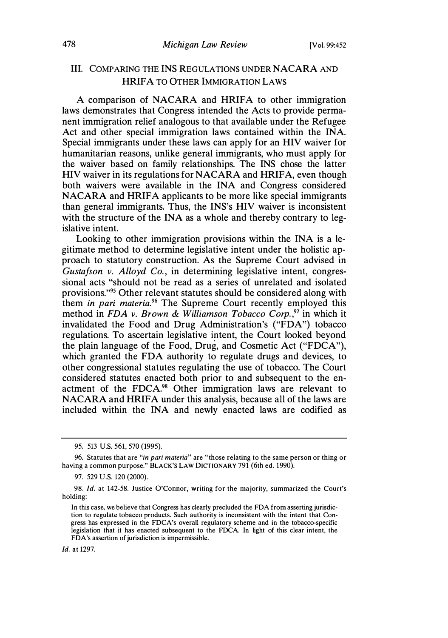# III. COMPARING THE INS REGULATIONS UNDER NACARA AND HRIFA TO OTHER IMMIGRATION LAWS

A comparison of NACARA and HRIFA to other immigration laws demonstrates that Congress intended the Acts to provide permanent immigration relief analogous to that available under the Refugee Act and other special immigration laws contained within the INA. Special immigrants under these laws can apply for an HIV waiver for humanitarian reasons, unlike general immigrants, who must apply for the waiver based on family relationships. The INS chose the latter HIV waiver in its regulations for NACARA and HRIFA, even though both waivers were available in the INA and Congress considered NACARA and HRIFA applicants to be more like special immigrants than general immigrants. Thus, the INS's HIV waiver is inconsistent with the structure of the INA as a whole and thereby contrary to legislative intent.

Looking to other immigration provisions within the INA is a legitimate method to determine legislative intent under the holistic approach to statutory construction. As the Supreme Court advised in Gustafson  $v$ . Alloyd Co., in determining legislative intent, congressional acts "should not be read as a series of unrelated and isolated provisions."95 Other relevant statutes should be considered along with them in pari materia.<sup>96</sup> The Supreme Court recently employed this method in FDA v. Brown & Williamson Tobacco Corp.,<sup>97</sup> in which it invalidated the Food and Drug Administration's ("FDA") tobacco regulations. To ascertain legislative intent, the Court looked beyond the plain language of the Food, Drug, and Cosmetic Act ("FDCA"), which granted the FDA authority to regulate drugs and devices, to other congressional statutes regulating the use of tobacco. The Court considered statutes enacted both prior to and subsequent to the enactment of the FDCA.<sup>98</sup> Other immigration laws are relevant to NACARA and HRIFA under this analysis, because all of the laws are included within the INA and newly enacted laws are codified as

Id. at 1297.

<sup>95. 513</sup> U.S. 561, 570 (1995).

<sup>96.</sup> Statutes that are "in pari materia" are "those relating to the same person or thing or having a common purpose." BLACK'S LAW DICTIONARY 791 (6th ed. 1990).

<sup>97. 529</sup> U.S. 120 (2000).

<sup>98.</sup> Id. at 142-58. Justice O'Connor, writing for the majority, summarized the Court's holding:

In this case, we believe that Congress has clearly precluded the FDA from asserting jurisdiction to regulate tobacco products. Such authority is inconsistent with the intent that Congress has expressed in the FDCA's overall regulatory scheme and in the tobacco-specific legislation that it has enacted subsequent to the FDCA. In light of this clear intent, the FDA's assertion of jurisdiction is impermissible.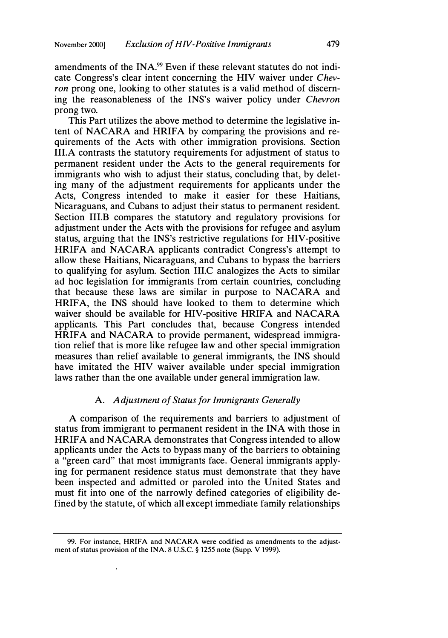amendments of the INA.<sup>99</sup> Even if these relevant statutes do not indicate Congress's clear intent concerning the HIV waiver under Chevron prong one, looking to other statutes is a valid method of discerning the reasonableness of the INS's waiver policy under Chevron prong two.

This Part utilizes the above method to determine the legislative intent of NACARA and HRIFA by comparing the provisions and requirements of the Acts with other immigration provisions. Section III.A contrasts the statutory requirements for adjustment of status to permanent resident under the Acts to the general requirements for immigrants who wish to adjust their status, concluding that, by deleting many of the adjustment requirements for applicants under the Acts, Congress intended to make it easier for these Haitians, Nicaraguans, and Cubans to adjust their status to permanent resident. Section IIl.B compares the statutory and regulatory provisions for adjustment under the Acts with the provisions for refugee and asylum status, arguing that the INS's restrictive regulations for HIV-positive HRIFA and NACARA applicants contradict Congress's attempt to allow these Haitians, Nicaraguans, and Cubans to bypass the barriers to qualifying for asylum. Section 111.C analogizes the Acts to similar ad hoc legislation for immigrants from certain countries, concluding that because these laws are similar in purpose to NACARA and HRIFA, the INS should have looked to them to determine which waiver should be available for HIV-positive HRIFA and NACARA applicants. This Part concludes that, because Congress intended HRIFA and NACARA to provide permanent, widespread immigration relief that is more like refugee law and other special immigration measures than relief available to general immigrants, the INS should have imitated the HIV waiver available under special immigration laws rather than the one available under general immigration law.

# A. A djustment of Status for Immigrants Generally

A comparison of the requirements and barriers to adjustment of status from immigrant to permanent resident in the INA with those in HRIFA and NACARA demonstrates that Congress intended to allow applicants under the Acts to bypass many of the barriers to obtaining a "green card" that most immigrants face. General immigrants applying for permanent residence status must demonstrate that they have been inspected and admitted or paroled into the United States and must fit into one of the narrowly defined categories of eligibility defined by the statute, of which all except immediate family relationships

<sup>99.</sup> For instance, HRIFA and NACARA were codified as amendments to the adjustment of status provision of the INA. 8 U.S.C. § 1255 note (Supp. V 1999).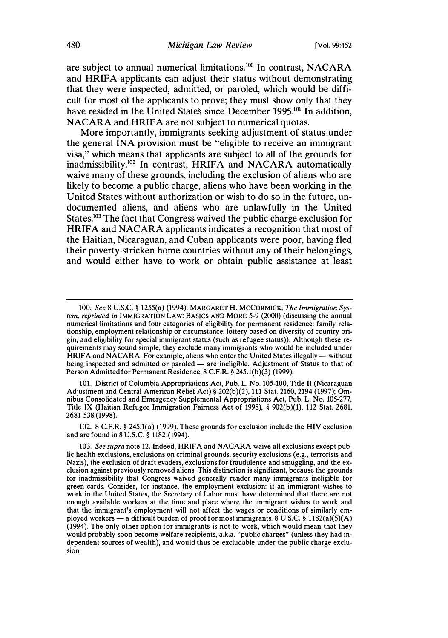are subject to annual numerical limitations.100 In contrast, NACARA and HRIFA applicants can adjust their status without demonstrating that they were inspected, admitted, or paroled, which would be difficult for most of the applicants to prove; they must show only that they have resided in the United States since December 1995.<sup>101</sup> In addition, NACARA and HRIFA are not subject to numerical quotas.

More importantly, immigrants seeking adjustment of status under the general INA provision must be "eligible to receive an immigrant visa," which means that applicants are subject to all of the grounds for inadmissibility.102 In contrast, HRIFA and NACARA automatically waive many of these grounds, including the exclusion of aliens who are likely to become a public charge, aliens who have been working in the United States without authorization or wish to do so in the future, undocumented aliens, and aliens who are unlawfully in the United States.103 The fact that Congress waived the public charge exclusion for HRIFA and NACARA applicants indicates a recognition that most of the Haitian, Nicaraguan, and Cuban applicants were poor, having fled their poverty-stricken home countries without any of their belongings, and would either have to work or obtain public assistance at least

101. District of Columbia Appropriations Act, Pub. L. No. 105-100, Title II (Nicaraguan Adjustment and Central American Relief Act) § 202(b)(2), 111 Stat. 2160, 2194 (1997); Omnibus Consolidated and Emergency Supplemental Appropriations Act, Pub. L. No. 105-277, Title IX (Haitian Refugee Immigration Fairness Act of 1998), § 902(b)(l), 112 Stat. 2681, 2681-538 (1998).

102. 8 C.F.R. § 245.l(a) (1999). These grounds for exclusion include the HIV exclusion and are found in 8 U.S.C. § 1182 (1994).

<sup>100.</sup> See 8 U.S.C. § 1255(a) (1994); MARGARET H. MCCORMICK, The Immigration System, reprinted in IMMIGRATION LAW: BASICS AND MORE 5-9 (2000) (discussing the annual numerical limitations and four categories of eligibility for permanent residence: family relationship, employment relationship or circumstance, lottery based on diversity of country origin, and eligibility for special immigrant status (such as refugee status)). Although these requirements may sound simple, they exclude many immigrants who would be included under HRIFA and NACARA. For example, aliens who enter the United States illegally — without being inspected and admitted or paroled  $-$  are ineligible. Adjustment of Status to that of Person Admitted for Permanent Residence, 8 C.F.R. § 245.l(b)(3) (1999).

<sup>103.</sup> See supra note 12. Indeed, HRIFA and NACARA waive all exclusions except public health exclusions, exclusions on criminal grounds, security exclusions (e.g., terrorists and Nazis), the exclusion of draft evaders, exclusions for fraudulence and smuggling, and the exclusion against previously removed aliens. This distinction is significant, because the grounds for inadmissibility that Congress waived generally render many immigrants ineligible for green cards. Consider, for instance, the employment exclusion: if an immigrant wishes to work in the United States, the Secretary of Labor must have determined that there are not enough available workers at the time and place where the immigrant wishes to work and that the immigrant's employment will not affect the wages or conditions of similarly employed workers — a difficult burden of proof for most immigrants. 8 U.S.C. § 1182(a)(5)(A) (1994). The only other option for immigrants is not to work, which would mean that they would probably soon become welfare recipients, a.k.a. "public charges" (unless they had independent sources of wealth), and would thus be excludable under the public charge exclusion.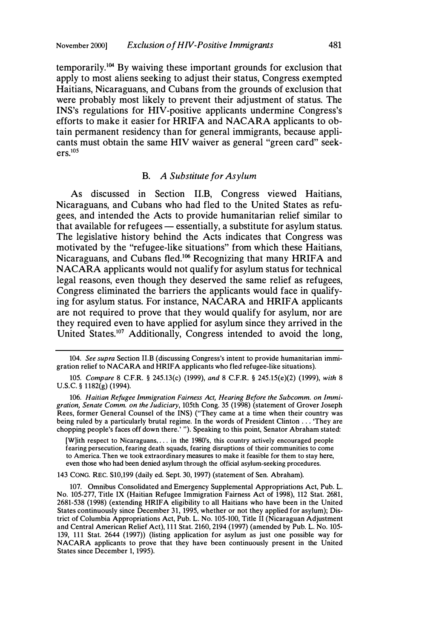temporarily.104 By waiving these important grounds for exclusion that apply to most aliens seeking to adjust their status, Congress exempted Haitians, Nicaraguans, and Cubans from the grounds of exclusion that were probably most likely to prevent their adjustment of status. The INS's regulations for HIV-positive applicants undermine Congress's efforts to make it easier for HRIFA and NACARA applicants to obtain permanent residency than for general immigrants, because applicants must obtain the same HIV waiver as general "green card" seek $ers.<sup>105</sup>$ 

## B. A Substitute for Asylum

As discussed in Section Il.B, Congress viewed Haitians, Nicaraguans, and Cubans who had fled to the United States as refugees, and intended the Acts to provide humanitarian relief similar to that available for refugees — essentially, a substitute for asylum status. The legislative history behind the Acts indicates that Congress was motivated by the "refugee-like situations" from which these Haitians, Nicaraguans, and Cubans fled.<sup>106</sup> Recognizing that many HRIFA and NACARA applicants would not qualify for asylum status for technical legal reasons, even though they deserved the same relief as refugees, Congress eliminated the barriers the applicants would face in qualifying for asylum status. For instance, NACARA and HRIFA applicants are not required to prove that they would qualify for asylum, nor are they required even to have applied for asylum since they arrived in the United States.<sup>107</sup> Additionally, Congress intended to avoid the long,

105. Compare 8 C.F.R. § 245.13(c) (1999), and 8 C.F.R. § 245.15(e)(2) (1999), with 8 U.S.C. § 1182(g) (1994).

106. Haitian Refugee Immigration Fairness Act, Hearing Before the Subcomm. on Immigration, Senate Comm. on the Judiciary, 105th Cong. 35 (1998) (statement of Grover Joseph Rees, former General Counsel of the INS) ("They came at a time when their country was being ruled by a particularly brutal regime. In the words of President Clinton ... 'They are chopping people's faces off down there.' "). Speaking to this point, Senator Abraham stated:

[W)ith respect to Nicaraguans, ... in the 1980's, this country actively encouraged people fearing persecution, fearing death squads, fearing disruptions of their communities to come to America. Then we took extraordinary measures to make it feasible for them to stay here, even those who had been denied asylum through the official asylum-seeking procedures.

143 CONG. REC. Sl0,199 (daily ed. Sept. 30, 1997) (statement of Sen. Abraham).

107. Omnibus Consolidated and Emergency Supplemental Appropriations Act, Pub. L. No. 105-277, Title IX (Haitian Refugee Immigration Fairness Act of 1998), 112 Stat. 2681, 2681-538 (1998) (extending HRIFA eligibility to all Haitians who have been in the United States continuously since December 31, 1995, whether or not they applied for asylum); District of Columbia Appropriations Act, Pub. L. No. 105-100, Title II (Nicaraguan Adjustment and Central American Relief Act), 111 Stat. 2160, 2194 (1997) (amended by Pub. L. No. 105- 139, 111 Stat. 2644 (1997)) (listing application for asylum as just one possible way for NACARA applicants to prove that they have been continuously present in the United States since December 1, 1995).

<sup>104.</sup> See supra Section 11.B (discussing Congress's intent to provide humanitarian immigration relief to NACARA and HRIFA applicants who fled refugee-like situations).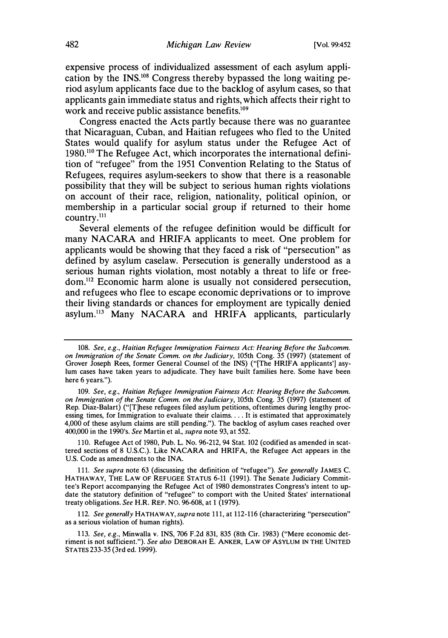expensive process of individualized assessment of each asylum application by the INS.108 Congress thereby bypassed the long waiting period asylum applicants face due to the backlog of asylum cases, so that applicants gain immediate status and rights, which affects their right to work and receive public assistance benefits.<sup>109</sup>

Congress enacted the Acts partly because there was no guarantee that Nicaraguan, Cuban, and Haitian refugees who fled to the United States would qualify for asylum status under the Refugee Act of 1980.110 The Refugee Act, which incorporates the international definition of "refugee" from the 1951 Convention Relating to the Status of Refugees, requires asylum-seekers to show that there is a reasonable possibility that they will be subject to serious human rights violations on account of their race, religion, nationality, political opinion, or membership in a particular social group if returned to their home country.111

Several elements of the refugee definition would be difficult for many NACARA and HRIFA applicants to meet. One problem for applicants would be showing that they faced a risk of "persecution" as defined by asylum caselaw. Persecution is generally understood as a serious human rights violation, most notably a threat to life or freedom.112 Economic harm alone is usually not considered persecution, and refugees who flee to escape economic deprivations or to improve their living standards or chances for employment are typically denied asylum.113 Many NACARA and HRIFA applicants, particularly

110. Refugee Act of 1980, Pub. L. No. 96-212, 94 Stat. 102 (codified as amended in scattered sections of 8 U.S.C.). Like NACARA and HRIFA, the Refugee Act appears in the U.S. Code as amendments to the INA.

111. See supra note 63 (discussing the definition of "refugee"). See generally JAMES C. HATHAWAY, THE LAW OF REFUGEE STATUS 6-11 (1991). The Senate Judiciary Committee's Report accompanying the Refugee Act of 1980 demonstrates Congress's intent to update the statutory definition of "refugee" to comport with the United States' international treaty obligations. See H.R. REP. No. 96-608, at 1 (1979).

112. See generally HATHAWAY, supra note 111, at 112-116 (characterizing "persecution" as a serious violation of human rights).

<sup>108.</sup> See, e.g., Haitian Refugee Immigration Fairness Act: Hearing Before the Subcomm. on Immigration of the Senate Comm. on the Judiciary, 105th Cong. 35 (1997) (statement of Grover Joseph Rees, former General Counsel of the INS) ("(The HRIFA applicants'] asylum cases have taken years to adjudicate. They have built families here. Some have been here 6 years.").

<sup>109.</sup> See, e.g., Haitian Refugee Immigration Fairness Act: Hearing Before the Subcomm. on Immigration of the Senate Comm. on the Judiciary, 105th Cong. 35 (1997) (statement of Rep. Oiaz-Balart) ("[T]hese refugees filed asylum petitions, oftentimes during lengthy processing times, for Immigration to evaluate their claims .... It is estimated that approximately 4,000 of these asylum claims are still pending."). The backlog of asylum cases reached over 400,000 in the 1990's. See Martin et al., supra note 93, at 552.

<sup>113.</sup> See, e.g., Minwalla v. INS, 706 F.2d 831, 835 (8th Cir. 1983) ("Mere economic detriment is not sufficient."). See also DEBORAH E. ANKER, LAW OF ASYLUM IN THE UNITED STATES 233-35 (3rd ed. 1999).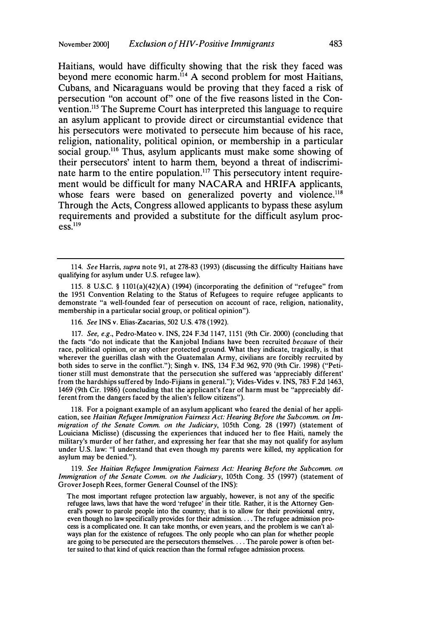Haitians, would have difficulty showing that the risk they faced was beyond mere economic harm.<sup>114</sup> A second problem for most Haitians, Cubans, and Nicaraguans would be proving that they faced a risk of persecution "on account of" one of the five reasons listed in the Convention.115 The Supreme Court has interpreted this language to require an asylum applicant to provide direct or circumstantial evidence that his persecutors were motivated to persecute him because of his race, religion, nationality, political opinion, or membership in a particular social group.<sup>116</sup> Thus, asylum applicants must make some showing of their persecutors' intent to harm them, beyond a threat of indiscriminate harm to the entire population.<sup>117</sup> This persecutory intent requirement would be difficult for many NACARA and HRIFA applicants, whose fears were based on generalized poverty and violence.<sup>118</sup> Through the Acts, Congress allowed applicants to bypass these asylum requirements and provided a substitute for the difficult asylum proc- $\overline{ess}$ <sup>119</sup>

116. See INS v. Elias-Zacarias, 502 U.S. 478 (1992).

117. See, e.g., Pedro-Mateo v. INS, 224 F.3d 1147, 1151 (9th Cir. 2000) (concluding that the facts "do not indicate that the Kanjobal Indians have been recruited because of their race, political opinion, or any other protected ground. What they indicate, tragically, is that wherever the guerillas clash with the Guatemalan Army, civilians are forcibly recruited by both sides to serve in the conflict."); Singh v. INS, 134 F.3d 962, 970 (9th Cir. 1998) ("Petitioner still must demonstrate that the persecution she suffered was 'appreciably different' from the hardships suffered by Indo-Fijians in general."); Vides-Vides v. INS, 783 F.2d 1463, 1469 (9th Cir. 1986) (concluding that the applicant's fear of harm must be "appreciably different from the dangers faced by the alien's fellow citizens").

118. For a poignant example of an asylum applicant who feared the denial of her application, see Haitian Refugee Immigration Fairness Act: Hearing Before the Subcomm. on Immigration of the Senate Comm. on the Judiciary, 105th Cong. 28 (1997) (statement of Louiciana Miclisse) (discussing the experiences that induced her to flee Haiti, namely the military's murder of her father, and expressing her fear that she may not qualify for asylum under U.S. law: "I understand that even though my parents were killed, my application for asylum may be denied.").

119. See Haitian Refugee Immigration Fairness Act: Hearing Before the Subcomm. on Immigration of the Senate Comm. on the Judiciary, 105th Cong. 35 (1997) (statement of Grover Joseph Rees, former General Counsel of the INS):

The most important refugee protection law arguably, however, is not any of the specific refugee laws, laws that have the word 'refugee' in their title. Rather, it is the Attorney General's power to parole people into the country; that is to allow for their provisional entry, even though no law specifically provides for their admission .... The refugee admission process is a complicated one. It can take months, or even years, and the problem is we can't always plan for the existence of refugees. The only people who can plan for whether people are going to be persecuted are the persecutors themselves .... The parole power is often better suited to that kind of quick reaction than the formal refugee admission process.

<sup>114.</sup> See Harris, supra note 91, at 278-83 (1993) (discussing the difficulty Haitians have qualifying for asylum under U.S. refugee law).

<sup>115. 8</sup> U.S.C. § 1101(a)(42)(A) (1994) (incorporating the definition of "refugee" from the 1951 Convention Relating to the Status of Refugees to require refugee applicants to demonstrate "a well-founded fear of persecution on account of race, religion, nationality, membership in a particular social group, or political opinion").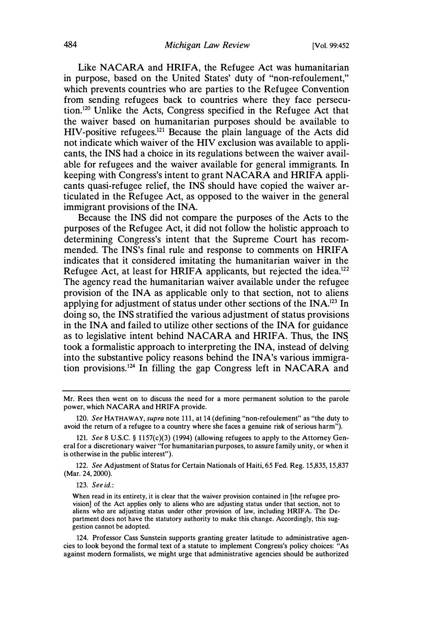Like NACARA and HRIFA, the Refugee Act was humanitarian in purpose, based on the United States' duty of "non-refoulement," which prevents countries who are parties to the Refugee Convention from sending refugees back to countries where they face persecution.120 Unlike the Acts, Congress specified in the Refugee Act that the waiver based on humanitarian purposes should be available to HIV-positive refugees.121 Because the plain language of the Acts did not indicate which waiver of the HIV exclusion was available to applicants, the INS had a choice in its regulations between the waiver available for refugees and the waiver available for general immigrants. In keeping with Congress's intent to grant NACARA and HRIFA applicants quasi-refugee relief, the INS should have copied the waiver articulated in the Refugee Act, as opposed to the waiver in the general immigrant provisions of the INA.

Because the INS did not compare the purposes of the Acts to the purposes of the Refugee Act, it did not follow the holistic approach to determining Congress's intent that the Supreme Court has recommended. The INS's final rule and response to comments on HRIFA indicates that it considered imitating the humanitarian waiver in the Refugee Act, at least for HRIFA applicants, but rejected the idea.<sup>122</sup> The agency read the humanitarian waiver available under the refugee provision of the INA as applicable only to that section, not to aliens applying for adjustment of status under other sections of the INA.123 In doing so, the INS stratified the various adjustment of status provisions in the INA and failed to utilize other sections of the INA for guidance as to legislative intent behind NACARA and HRIFA. Thus, the INS took a formalistic approach to interpreting the INA, instead of delving into the substantive policy reasons behind the INA's various immigration provisions.124 In filling the gap Congress left in NACARA and

122. See Adjustment of Status for Certain Nationals of Haiti, 65 Fed. Reg. 15,835, 15,837 (Mar. 24, 2000).

123. See id. :

Mr. Rees then went on to discuss the need for a more permanent solution to the parole power, which NACARA and HRIFA provide.

<sup>120.</sup> See HATHAWAY, supra note 111, at 14 (defining "non-refoulement" as "the duty to avoid the return of a refugee to a country where she faces a genuine risk of serious harm").

<sup>121.</sup> See 8 U.S.C. § 1157(c)(3) (1994) (allowing refugees to apply to the Attorney General for a discretionary waiver "for humanitarian purposes, to assure family unity, or when it is otherwise in the public interest").

When read in its entirety, it is clear that the waiver provision contained in [the refugee provision] of the Act applies only to aliens who are adjusting status under that section, not to aliens who are adjusting status under other provision of law, including HRIFA. The Department does not have the statutory authority to make this change. Accordingly, this suggestion cannot be adopted.

<sup>124.</sup> Professor Cass Sunstein supports granting greater latitude to administrative agencies to look beyond the formal text of a statute to implement Congress's policy choices: "As against modem formalists, we might urge that administrative agencies should be authorized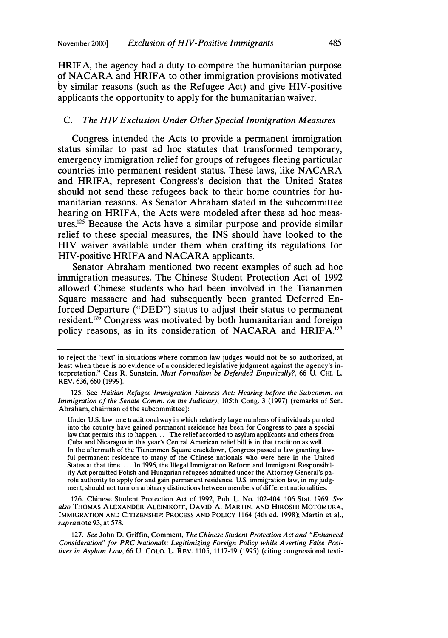November 2000] Exclusion of HIV-Positive Immigrants 485

HRIF A, the agency had a duty to compare the humanitarian purpose of NACARA and HRIFA to other immigration provisions motivated by similar reasons (such as the Refugee Act) and give HIV-positive applicants the opportunity to apply for the humanitarian waiver.

### C. The HIV Exclusion Under Other Special Immigration Measures

Congress intended the Acts to provide a permanent immigration status similar to past ad hoc statutes that transformed temporary, emergency immigration relief for groups of refugees fleeing particular countries into permanent resident status. These laws, like NACARA and HRIFA, represent Congress's decision that the United States should not send these refugees back to their home countries for humanitarian reasons. As Senator Abraham stated in the subcommittee hearing on HRIFA, the Acts were modeled after these ad hoc measures.<sup>125</sup> Because the Acts have a similar purpose and provide similar relief to these special measures, the INS should have looked to the HIV waiver available under them when crafting its regulations for HIV-positive HRIFA and NACARA applicants.

Senator Abraham mentioned two recent examples of such ad hoc immigration measures. The Chinese Student Protection Act of 1992 allowed Chinese students who had been involved in the Tiananmen Square massacre and had subsequently been granted Deferred Enforced Departure ("DED") status to adjust their status to permanent resident.<sup>126</sup> Congress was motivated by both humanitarian and foreign policy reasons, as in its consideration of NACARA and HRIFA.<sup>127</sup>

125. See Haitian Refugee Immigration Fairness Act: Hearing before the Subcomm. on Immigration of the Senate Comm. on the Judiciary, 105th Cong. 3 (1997) (remarks of Sen. Abraham, chairman of the subcommittee):

Under U.S. law, one traditional way in which relatively large numbers of individuals paroled into the country have gained permanent residence has been for Congress to pass a special law that permits this to happen. . . . The relief accorded to asylum applicants and others from Cuba and Nicaragua in this year's Central American relief bill is in that tradition as well. ... In the aftermath of the Tianenmen Square crackdown, Congress passed a law granting lawful permanent residence to many of the Chinese nationals who were here in the United States at that time.... In 1996, the Illegal Immigration Reform and Immigrant Responsibility Act permitted Polish and Hungarian refugees admitted under the Attorney General's parole authority to apply for and gain permanent residence. U.S. immigration law, in my judgment, should not turn on arbitrary distinctions between members of different nationalities.

126. Chinese Student Protection Act of 1992, Pub. L. No. 102-404, 106 Stat. 1969. See also THOMAS ALEXANDER ALEINIKOFF, DAVID A. MARTIN, AND HIROSHI MOTOMURA, IMMIGRATION AND CITIZENSHIP: PROCESS AND POLICY 1164 (4th ed. 1998); Martin et al., supra note 93, at 578.

127. See John D. Griffin, Comment, The Chinese Student Protection Act and "Enhanced Consideration" for PRC Nationals: Legitimizing Foreign Policy while Averting False Positives in Asylum Law, 66 U. COLO. L. REV. 1105, 1117-19 (1995) (citing congressional testi-

to reject the 'text' in situations where common law judges would not be so authorized, at least when there is no evidence of a considered legislative judgment against the agency's interpretation." Cass R. Sunstein, Must Formalism be Defended Empirically?, 66 U. CHI. L. <sup>R</sup>EV. 636, 660 (1999).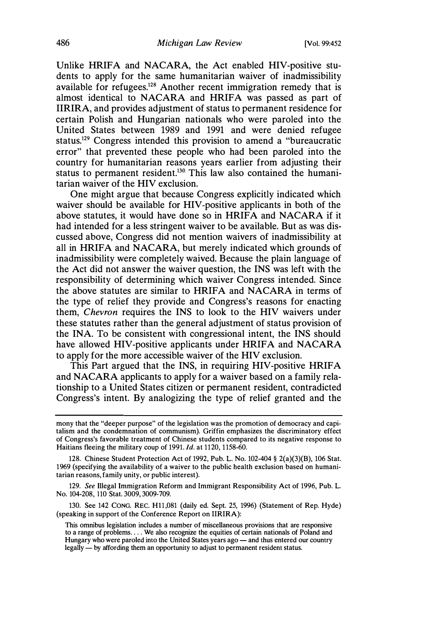Unlike HRIFA and NACARA, the Act enabled HIV-positive students to apply for the same humanitarian waiver of inadmissibility available for refugees.<sup>128</sup> Another recent immigration remedy that is almost identical to NACARA and HRIFA was passed as part of IIRIRA, and provides adjustment of status to permanent residence for certain Polish and Hungarian nationals who were paroled into the United States between 1989 and 1991 and were denied refugee status.<sup>129</sup> Congress intended this provision to amend a "bureaucratic error" that prevented these people who had been paroled into the country for humanitarian reasons years earlier from adjusting their status to permanent resident.<sup>130</sup> This law also contained the humanitarian waiver of the HIV exclusion.

One might argue that because Congress explicitly indicated which waiver should be available for HIV-positive applicants in both of the above statutes, it would have done so in HRIFA and NACARA if it had intended for a less stringent waiver to be available. But as was discussed above, Congress did not mention waivers of inadmissibility at all in HRIFA and NACARA, but merely indicated which grounds of inadmissibility were completely waived. Because the plain language of the Act did not answer the waiver question, the INS was left with the responsibility of determining which waiver Congress intended. Since the above statutes are similar to HRIFA and NACARA in terms of the type of relief they provide and Congress's reasons for enacting them, Chevron requires the INS to look to the HIV waivers under these statutes rather than the general adjustment of status provision of the INA. To be consistent with congressional intent, the INS should have allowed HIV-positive applicants under HRIFA and NACARA to apply for the more accessible waiver of the HIV exclusion.

This Part argued that the INS, in requiring HIV-positive HRIFA and NACARA applicants to apply for a waiver based on a family relationship to a United States citizen or permanent resident, contradicted Congress's intent. By analogizing the type of relief granted and the

129. See Illegal Immigration Reform and Immigrant Responsibility Act of 1996, Pub. L. No. 104-208, 110 Stat. 3009, 3009-709.

130. See 142 CONG. REC. Hll,081 (daily ed. Sept. 25, 1996) (Statement of Rep. Hyde) (speaking in support of the Conference Report on IIRIRA):

This omnibus legislation includes a number of miscellaneous provisions that are responsive to a range of problems.... We also recognize the equities of certain nationals of Poland and Hungary who were paroled into the United States years ago - and thus entered our country legally — by affording them an opportunity to adjust to permanent resident status.

mony that the "deeper purpose" of the legislation was the promotion of democracy and capitalism and the condemnation of communism). Griffin emphasizes the discriminatory effect of Congress's favorable treatment of Chinese students compared to its negative response to Haitians fleeing the military coup of 1991. Id. at 1120, 1158-60.

<sup>128.</sup> Chinese Student Protection Act of 1992, Pub. L. No. 102-404 § 2(a)(3)(B), 106 Stat. 1969 (specifying the availability of a waiver to the public health exclusion based on humanitarian reasons, family unity, or public interest).